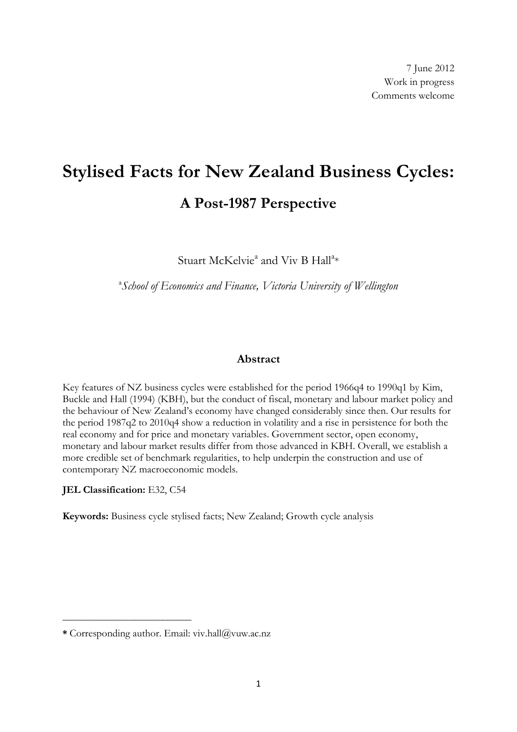# **Stylised Facts for New Zealand Business Cycles: A Post-1987 Perspective**

Stuart McKelvie<sup>a</sup> and Viv B Hall<sup>a</sup>\*

a *School of Economics and Finance, Victoria University of Wellington*

# **Abstract**

Key features of NZ business cycles were established for the period 1966q4 to 1990q1 by [Kim,](#page-37-0)  Buckle and [Hall \(1994\)](#page-37-0) (KBH), but the conduct of fiscal, monetary and labour market policy and the behaviour of New Zealand"s economy have changed considerably since then. Our results for the period 1987q2 to 2010q4 show a reduction in volatility and a rise in persistence for both the real economy and for price and monetary variables. Government sector, open economy, monetary and labour market results differ from those advanced in KBH. Overall, we establish a more credible set of benchmark regularities, to help underpin the construction and use of contemporary NZ macroeconomic models.

**JEL Classification:** E32, C54

**\_\_\_\_\_\_\_\_\_\_\_\_\_\_\_\_\_\_\_\_\_\_\_\_\_\_\_**

**Keywords:** Business cycle stylised facts; New Zealand; Growth cycle analysis

**<sup>\*</sup>** Corresponding author. Email: viv.hall@vuw.ac.nz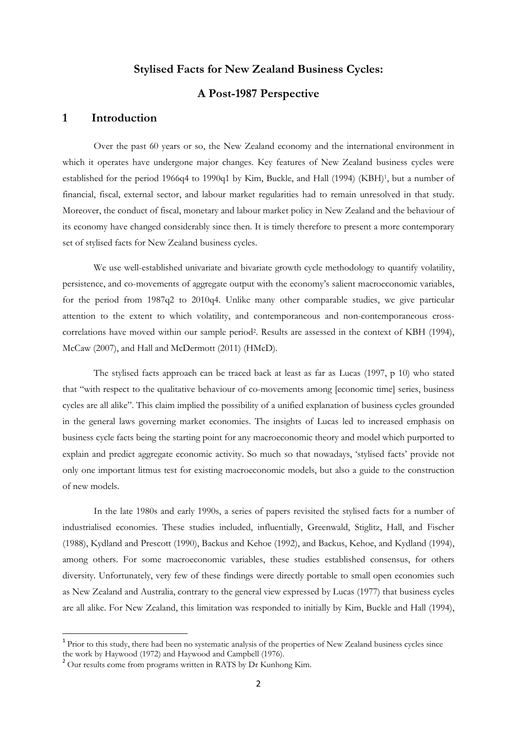# **Stylised Facts for New Zealand Business Cycles:**

# **A Post-1987 Perspective**

#### **1 Introduction**

Over the past 60 years or so, the New Zealand economy and the international environment in which it operates have undergone major changes. Key features of New Zealand business cycles were established for the period 1966q4 to 1990q1 by [Kim, Buckle, and Hall \(1994\)](#page-37-0) (KBH)<sup>1</sup>, but a number of financial, fiscal, external sector, and labour market regularities had to remain unresolved in that study. Moreover, the conduct of fiscal, monetary and labour market policy in New Zealand and the behaviour of its economy have changed considerably since then. It is timely therefore to present a more contemporary set of stylised facts for New Zealand business cycles.

We use well-established univariate and bivariate growth cycle methodology to quantify volatility, persistence, and co-movements of aggregate output with the economy's salient macroeconomic variables, for the period from 1987q2 to 2010q4. Unlike many other comparable studies, we give particular attention to the extent to which volatility, and contemporaneous and non-contemporaneous crosscorrelations have moved within our sample period<sup>2</sup>. Results are assessed in the context of KBH (1994), McCaw (2007), and Hall and McDermott (2011) (HMcD).

The stylised facts approach can be traced back at least as far as Lucas (1997, p 10) who stated that "with respect to the qualitative behaviour of co-movements among [economic time] series, business cycles are all alike". This claim implied the possibility of a unified explanation of business cycles grounded in the general laws governing market economies. The insights of Lucas led to increased emphasis on business cycle facts being the starting point for any macroeconomic theory and model which purported to explain and predict aggregate economic activity. So much so that nowadays, "stylised facts" provide not only one important litmus test for existing macroeconomic models, but also a guide to the construction of new models.

In the late 1980s and early 1990s, a series of papers revisited the stylised facts for a number of industrialised economies. These studies included, influentially, [Greenwald, Stiglitz, Hall, and Fischer](#page-37-1)  [\(1988\)](#page-37-1), Kydland and Prescott (1990), [Backus and Kehoe \(1992\)](#page-36-0), and [Backus, Kehoe, and Kydland \(1994\)](#page-36-1), among others. For some macroeconomic variables, these studies established consensus, for others diversity. Unfortunately, very few of these findings were directly portable to small open economies such as New Zealand and Australia, contrary to the general view expressed by [Lucas \(1977\)](#page-38-0) that business cycles are all alike. For New Zealand, this limitation was responded to initially by Kim, Buckle and Hall (1994),

1

<sup>&</sup>lt;sup>1</sup> Prior to this study, there had been no systematic analysis of the properties of New Zealand business cycles since the work by Haywood (1972) and Haywood and Campbell (1976).

<sup>&</sup>lt;sup>2</sup> Our results come from programs written in RATS by Dr Kunhong Kim.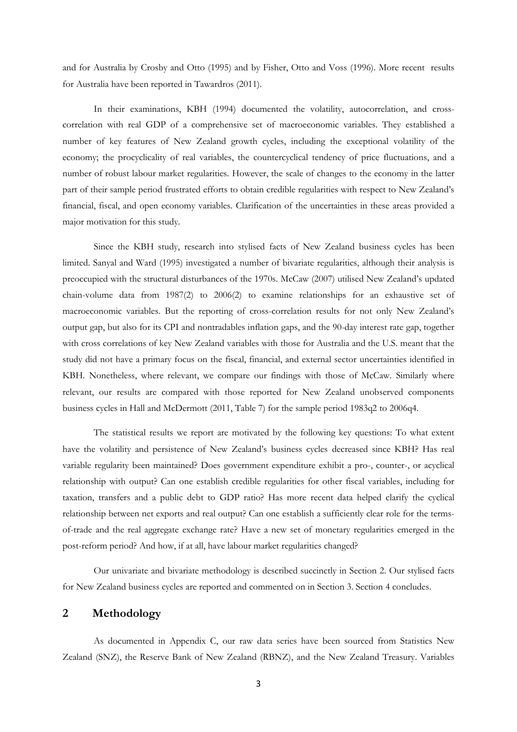and for Australia by Crosby and Otto (1995) and by Fisher, Otto and Voss (1996). More recent results for Australia have been reported in Tawardros (2011).

In their examinations, KBH (1994) documented the volatility, autocorrelation, and crosscorrelation with real GDP of a comprehensive set of macroeconomic variables. They established a number of key features of New Zealand growth cycles, including the exceptional volatility of the economy; the procyclicality of real variables, the countercyclical tendency of price fluctuations, and a number of robust labour market regularities. However, the scale of changes to the economy in the latter part of their sample period frustrated efforts to obtain credible regularities with respect to New Zealand"s financial, fiscal, and open economy variables. Clarification of the uncertainties in these areas provided a major motivation for this study.

Since the KBH study, research into stylised facts of New Zealand business cycles has been limited. [Sanyal and Ward \(1995\)](#page-38-1) investigated a number of bivariate regularities, although their analysis is preoccupied with the structural disturbances of the 1970s. [McCaw \(2007\)](#page-38-2) utilised New Zealand"s updated chain-volume data from 1987(2) to 2006(2) to examine relationships for an exhaustive set of macroeconomic variables. But the reporting of cross-correlation results for not only New Zealand"s output gap, but also for its CPI and nontradables inflation gaps, and the 90-day interest rate gap, together with cross correlations of key New Zealand variables with those for Australia and the U.S. meant that the study did not have a primary focus on the fiscal, financial, and external sector uncertainties identified in KBH. Nonetheless, where relevant, we compare our findings with those of McCaw. Similarly where relevant, our results are compared with those reported for New Zealand unobserved components business cycles in Hall and McDermott (2011, Table 7) for the sample period 1983q2 to 2006q4.

The statistical results we report are motivated by the following key questions: To what extent have the volatility and persistence of New Zealand's business cycles decreased since KBH? Has real variable regularity been maintained? Does government expenditure exhibit a pro-, counter-, or acyclical relationship with output? Can one establish credible regularities for other fiscal variables, including for taxation, transfers and a public debt to GDP ratio? Has more recent data helped clarify the cyclical relationship between net exports and real output? Can one establish a sufficiently clear role for the termsof-trade and the real aggregate exchange rate? Have a new set of monetary regularities emerged in the post-reform period? And how, if at all, have labour market regularities changed?

Our univariate and bivariate methodology is described succinctly in Section 2. Our stylised facts for New Zealand business cycles are reported and commented on in Section 3. Section 4 concludes.

# **2 Methodology**

As documented in Appendix C, our raw data series have been sourced from Statistics New Zealand (SNZ), the Reserve Bank of New Zealand (RBNZ), and the New Zealand Treasury. Variables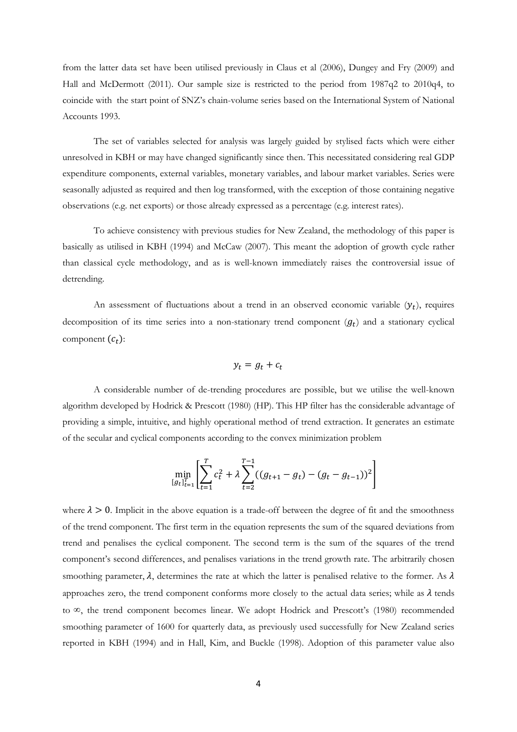from the latter data set have been utilised previously in Claus et al (2006), Dungey and Fry (2009) and Hall and McDermott (2011). Our sample size is restricted to the period from 1987q2 to 2010q4, to coincide with the start point of SNZ"s chain-volume series based on the International System of National Accounts 1993.

The set of variables selected for analysis was largely guided by stylised facts which were either unresolved in KBH or may have changed significantly since then. This necessitated considering real GDP expenditure components, external variables, monetary variables, and labour market variables. Series were seasonally adjusted as required and then log transformed, with the exception of those containing negative observations (e.g. net exports) or those already expressed as a percentage (e.g. interest rates).

To achieve consistency with previous studies for New Zealand, the methodology of this paper is basically as utilised in KBH (1994) and McCaw (2007). This meant the adoption of growth cycle rather than classical cycle methodology, and as is well-known immediately raises the controversial issue of detrending.

An assessment of fluctuations about a trend in an observed economic variable  $(y_t)$ , requires decomposition of its time series into a non-stationary trend component  $(g_t)$  and a stationary cyclical component  $(c_t)$ :

$$
y_t = g_t + c_t
$$

A considerable number of de-trending procedures are possible, but we utilise the well-known algorithm developed by [Hodrick & Prescott](#page-37-2) (1980) (HP). This HP filter has the considerable advantage of providing a simple, intuitive, and highly operational method of trend extraction. It generates an estimate of the secular and cyclical components according to the convex minimization problem

$$
\min_{[g_t]_{t=1}^T} \left[ \sum_{t=1}^T c_t^2 + \lambda \sum_{t=2}^{T-1} ((g_{t+1} - g_t) - (g_t - g_{t-1}))^2 \right]
$$

where  $\lambda > 0$ . Implicit in the above equation is a trade-off between the degree of fit and the smoothness of the trend component. The first term in the equation represents the sum of the squared deviations from trend and penalises the cyclical component. The second term is the sum of the squares of the trend component's second differences, and penalises variations in the trend growth rate. The arbitrarily chosen smoothing parameter,  $\lambda$ , determines the rate at which the latter is penalised relative to the former. As  $\lambda$ approaches zero, the trend component conforms more closely to the actual data series; while as  $\lambda$  tends to  $\infty$ , the trend component becomes linear. We adopt Hodrick and Prescott's (1980) recommended smoothing parameter of 1600 for quarterly data, as previously used successfully for New Zealand series reported in KBH (1994) and in Hall, Kim, and Buckle (1998). Adoption of this parameter value also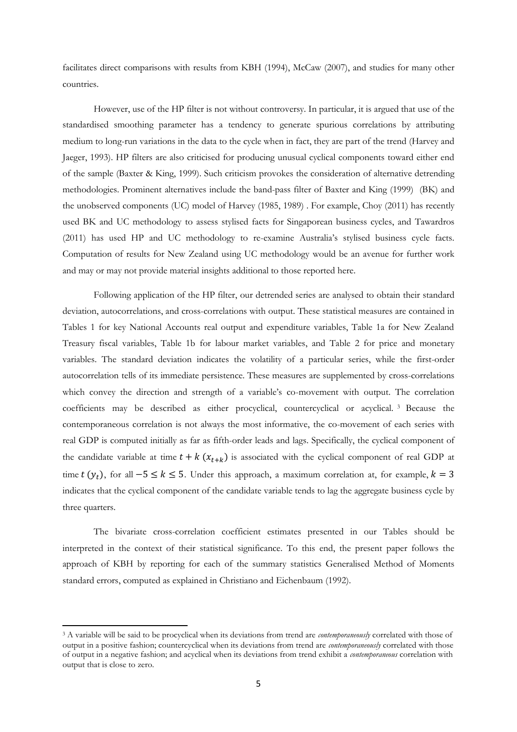facilitates direct comparisons with results from KBH (1994), McCaw (2007), and studies for many other countries.

However, use of the HP filter is not without controversy. In particular, it is argued that use of the standardised smoothing parameter has a tendency to generate spurious correlations by attributing medium to long-run variations in the data to the cycle when in fact, they are part of the trend [\(Harvey and](#page-37-3)  [Jaeger,](#page-37-3) 1993). HP filters are also criticised for producing unusual cyclical components toward either end of the sample [\(Baxter & King, 1999\)](#page-36-2). Such criticism provokes the consideration of alternative detrending methodologies. Prominent alternatives include the band-pass filter of [Baxter and King \(1999\)](#page-36-2) (BK) and the unobserved components (UC) model of Harvey [\(1985,](#page-37-4) [1989\)](#page-37-5) . For example, Choy (2011) has recently used BK and UC methodology to assess stylised facts for Singaporean business cycles, and [Tawardros](#page-38-3)  [\(2011\)](#page-38-3) has used HP and UC methodology to re-examine Australia's stylised business cycle facts. Computation of results for New Zealand using UC methodology would be an avenue for further work and may or may not provide material insights additional to those reported here.

Following application of the HP filter, our detrended series are analysed to obtain their standard deviation, autocorrelations, and cross-correlations with output. These statistical measures are contained in Tables 1 for key National Accounts real output and expenditure variables, Table 1a for New Zealand Treasury fiscal variables, Table 1b for labour market variables, and Table 2 for price and monetary variables. The standard deviation indicates the volatility of a particular series, while the first-order autocorrelation tells of its immediate persistence. These measures are supplemented by cross-correlations which convey the direction and strength of a variable's co-movement with output. The correlation coefficients may be described as either procyclical, countercyclical or acyclical. <sup>3</sup> Because the contemporaneous correlation is not always the most informative, the co-movement of each series with real GDP is computed initially as far as fifth-order leads and lags. Specifically, the cyclical component of the candidate variable at time  $t + k(x_{t+k})$  is associated with the cyclical component of real GDP at time  $t(y_t)$ , for all  $-5 \le k \le 5$ . Under this approach, a maximum correlation at, for example,  $k = 3$ indicates that the cyclical component of the candidate variable tends to lag the aggregate business cycle by three quarters.

The bivariate cross-correlation coefficient estimates presented in our Tables should be interpreted in the context of their statistical significance. To this end, the present paper follows the approach of KBH by reporting for each of the summary statistics Generalised Method of Moments standard errors, computed as explained i[n Christiano and Eichenbaum \(1992\)](#page-36-3).

1

<sup>3</sup> A variable will be said to be procyclical when its deviations from trend are *contemporaneously* correlated with those of output in a positive fashion; countercyclical when its deviations from trend are *contemporaneously* correlated with those of output in a negative fashion; and acyclical when its deviations from trend exhibit a *contemporaneous* correlation with output that is close to zero.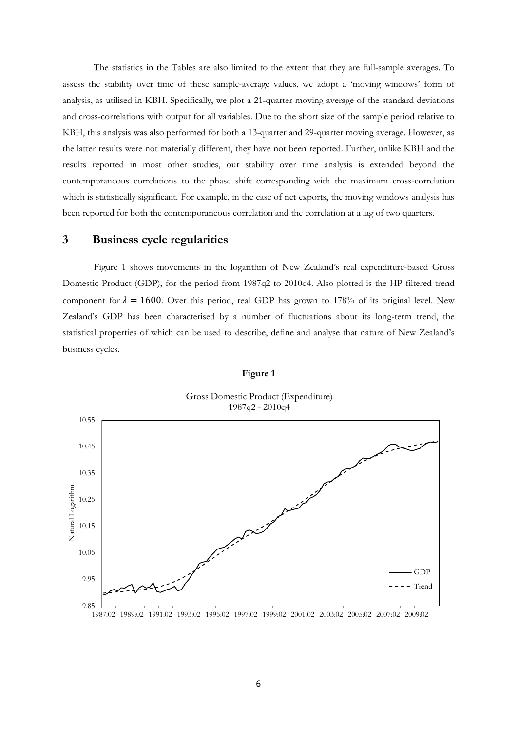The statistics in the Tables are also limited to the extent that they are full-sample averages. To assess the stability over time of these sample-average values, we adopt a "moving windows" form of analysis, as utilised in KBH. Specifically, we plot a 21-quarter moving average of the standard deviations and cross-correlations with output for all variables. Due to the short size of the sample period relative to KBH, this analysis was also performed for both a 13-quarter and 29-quarter moving average. However, as the latter results were not materially different, they have not been reported. Further, unlike KBH and the results reported in most other studies, our stability over time analysis is extended beyond the contemporaneous correlations to the phase shift corresponding with the maximum cross-correlation which is statistically significant. For example, in the case of net exports, the moving windows analysis has been reported for both the contemporaneous correlation and the correlation at a lag of two quarters.

# **3 Business cycle regularities**

Figure 1 shows movements in the logarithm of New Zealand"s real expenditure-based Gross Domestic Product (GDP), for the period from 1987q2 to 2010q4. Also plotted is the HP filtered trend component for  $\lambda = 1600$ . Over this period, real GDP has grown to 178% of its original level. New Zealand"s GDP has been characterised by a number of fluctuations about its long-term trend, the statistical properties of which can be used to describe, define and analyse that nature of New Zealand"s business cycles.



#### **Figure 1**

Gross Domestic Product (Expenditure)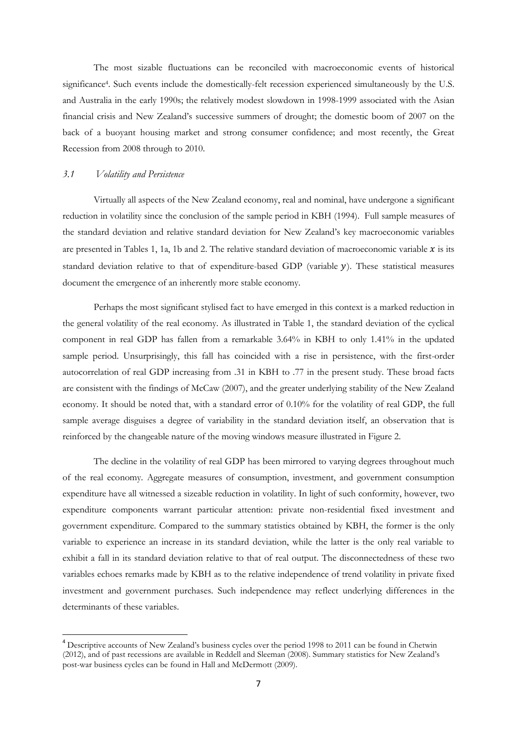The most sizable fluctuations can be reconciled with macroeconomic events of historical significance<sup>4</sup>. Such events include the domestically-felt recession experienced simultaneously by the U.S. and Australia in the early 1990s; the relatively modest slowdown in 1998-1999 associated with the Asian financial crisis and New Zealand"s successive summers of drought; the domestic boom of 2007 on the back of a buoyant housing market and strong consumer confidence; and most recently, the Great Recession from 2008 through to 2010.

#### *3.1 Volatility and Persistence*

**.** 

Virtually all aspects of the New Zealand economy, real and nominal, have undergone a significant reduction in volatility since the conclusion of the sample period in KBH (1994). Full sample measures of the standard deviation and relative standard deviation for New Zealand"s key macroeconomic variables are presented in Tables 1, 1a, 1b and 2. The relative standard deviation of macroeconomic variable  $x$  is its standard deviation relative to that of expenditure-based GDP (variable  $y$ ). These statistical measures document the emergence of an inherently more stable economy.

Perhaps the most significant stylised fact to have emerged in this context is a marked reduction in the general volatility of the real economy. As illustrated in Table 1, the standard deviation of the cyclical component in real GDP has fallen from a remarkable 3.64% in KBH to only 1.41% in the updated sample period. Unsurprisingly, this fall has coincided with a rise in persistence, with the first-order autocorrelation of real GDP increasing from .31 in KBH to .77 in the present study. These broad facts are consistent with the findings of McCaw (2007), and the greater underlying stability of the New Zealand economy. It should be noted that, with a standard error of 0.10% for the volatility of real GDP, the full sample average disguises a degree of variability in the standard deviation itself, an observation that is reinforced by the changeable nature of the moving windows measure illustrated in Figure 2.

The decline in the volatility of real GDP has been mirrored to varying degrees throughout much of the real economy. Aggregate measures of consumption, investment, and government consumption expenditure have all witnessed a sizeable reduction in volatility. In light of such conformity, however, two expenditure components warrant particular attention: private non-residential fixed investment and government expenditure. Compared to the summary statistics obtained by KBH, the former is the only variable to experience an increase in its standard deviation, while the latter is the only real variable to exhibit a fall in its standard deviation relative to that of real output. The disconnectedness of these two variables echoes remarks made by KBH as to the relative independence of trend volatility in private fixed investment and government purchases. Such independence may reflect underlying differences in the determinants of these variables.

<sup>&</sup>lt;sup>4</sup> Descriptive accounts of New Zealand's business cycles over the period 1998 to 2011 can be found in Chetwin (2012), and of past recessions are available in Reddell and Sleeman (2008). Summary statistics for New Zealand"s post-war business cycles can be found in Hall and McDermott (2009).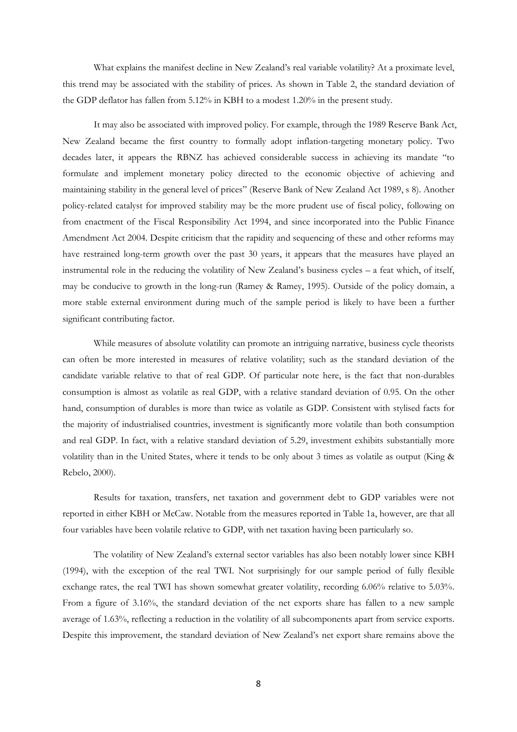What explains the manifest decline in New Zealand"s real variable volatility? At a proximate level, this trend may be associated with the stability of prices. As shown in Table 2, the standard deviation of the GDP deflator has fallen from 5.12% in KBH to a modest 1.20% in the present study.

It may also be associated with improved policy. For example, through the 1989 Reserve Bank Act, New Zealand became the first country to formally adopt inflation-targeting monetary policy. Two decades later, it appears the RBNZ has achieved considerable success in achieving its mandate "to formulate and implement monetary policy directed to the economic objective of achieving and maintaining stability in the general level of prices" (Reserve Bank of New Zealand Act 1989, s 8). Another policy-related catalyst for improved stability may be the more prudent use of fiscal policy, following on from enactment of the Fiscal Responsibility Act 1994, and since incorporated into the Public Finance Amendment Act 2004. Despite criticism that the rapidity and sequencing of these and other reforms may have restrained long-term growth over the past 30 years, it appears that the measures have played an instrumental role in the reducing the volatility of New Zealand"s business cycles – a feat which, of itself, may be conducive to growth in the long-run [\(Ramey & Ramey, 1995\)](#page-38-4). Outside of the policy domain, a more stable external environment during much of the sample period is likely to have been a further significant contributing factor.

While measures of absolute volatility can promote an intriguing narrative, business cycle theorists can often be more interested in measures of relative volatility; such as the standard deviation of the candidate variable relative to that of real GDP. Of particular note here, is the fact that non-durables consumption is almost as volatile as real GDP, with a relative standard deviation of 0.95. On the other hand, consumption of durables is more than twice as volatile as GDP. Consistent with stylised facts for the majority of industrialised countries, investment is significantly more volatile than both consumption and real GDP. In fact, with a relative standard deviation of 5.29, investment exhibits substantially more volatility than in the United States, where it tends to be only about 3 times as volatile as output [\(King &](#page-37-6)  [Rebelo, 2000\)](#page-37-6).

Results for taxation, transfers, net taxation and government debt to GDP variables were not reported in either KBH or McCaw. Notable from the measures reported in Table 1a, however, are that all four variables have been volatile relative to GDP, with net taxation having been particularly so.

The volatility of New Zealand"s external sector variables has also been notably lower since KBH (1994), with the exception of the real TWI. Not surprisingly for our sample period of fully flexible exchange rates, the real TWI has shown somewhat greater volatility, recording 6.06% relative to 5.03%. From a figure of 3.16%, the standard deviation of the net exports share has fallen to a new sample average of 1.63%, reflecting a reduction in the volatility of all subcomponents apart from service exports. Despite this improvement, the standard deviation of New Zealand"s net export share remains above the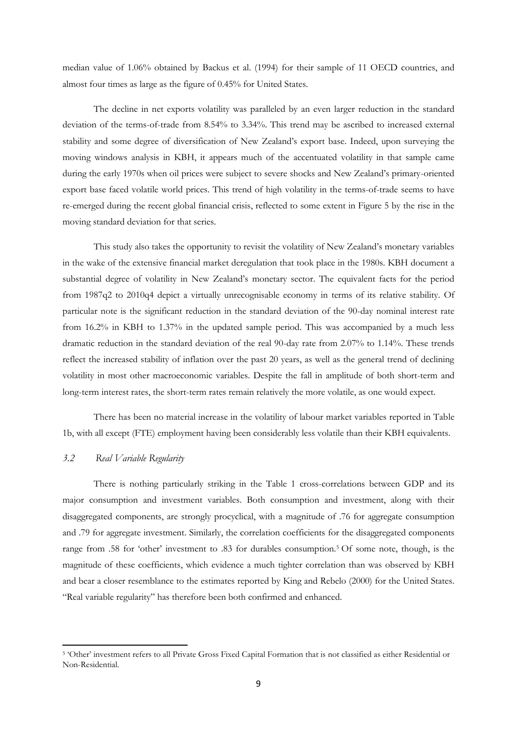median value of 1.06% obtained by [Backus et al. \(1994\)](#page-36-1) for their sample of 11 OECD countries, and almost four times as large as the figure of 0.45% for United States.

The decline in net exports volatility was paralleled by an even larger reduction in the standard deviation of the terms-of-trade from 8.54% to 3.34%. This trend may be ascribed to increased external stability and some degree of diversification of New Zealand"s export base. Indeed, upon surveying the moving windows analysis in KBH, it appears much of the accentuated volatility in that sample came during the early 1970s when oil prices were subject to severe shocks and New Zealand"s primary-oriented export base faced volatile world prices. This trend of high volatility in the terms-of-trade seems to have re-emerged during the recent global financial crisis, reflected to some extent in Figure 5 by the rise in the moving standard deviation for that series.

This study also takes the opportunity to revisit the volatility of New Zealand"s monetary variables in the wake of the extensive financial market deregulation that took place in the 1980s. KBH document a substantial degree of volatility in New Zealand's monetary sector. The equivalent facts for the period from 1987q2 to 2010q4 depict a virtually unrecognisable economy in terms of its relative stability. Of particular note is the significant reduction in the standard deviation of the 90-day nominal interest rate from 16.2% in KBH to 1.37% in the updated sample period. This was accompanied by a much less dramatic reduction in the standard deviation of the real 90-day rate from 2.07% to 1.14%. These trends reflect the increased stability of inflation over the past 20 years, as well as the general trend of declining volatility in most other macroeconomic variables. Despite the fall in amplitude of both short-term and long-term interest rates, the short-term rates remain relatively the more volatile, as one would expect.

There has been no material increase in the volatility of labour market variables reported in Table 1b, with all except (FTE) employment having been considerably less volatile than their KBH equivalents.

#### *3.2 Real Variable Regularity*

1

There is nothing particularly striking in the Table 1 cross-correlations between GDP and its major consumption and investment variables. Both consumption and investment, along with their disaggregated components, are strongly procyclical, with a magnitude of .76 for aggregate consumption and .79 for aggregate investment. Similarly, the correlation coefficients for the disaggregated components range from .58 for 'other' investment to .83 for durables consumption.<sup>5</sup> Of some note, though, is the magnitude of these coefficients, which evidence a much tighter correlation than was observed by KBH and bear a closer resemblance to the estimates reported by [King and Rebelo \(2000\)](#page-37-6) for the United States. "Real variable regularity" has therefore been both confirmed and enhanced.

<sup>&</sup>lt;sup>5</sup> 'Other' investment refers to all Private Gross Fixed Capital Formation that is not classified as either Residential or Non-Residential.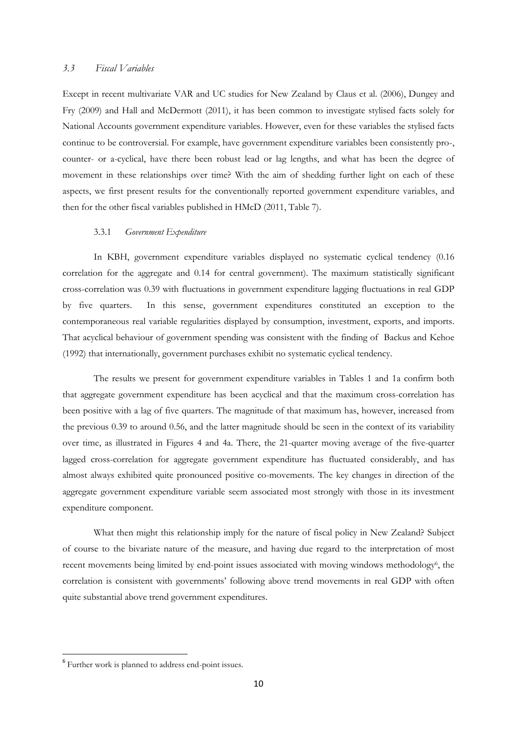#### *3.3 Fiscal Variables*

Except in recent multivariate VAR and UC studies for New Zealand by Claus et al. (2006), Dungey and Fry (2009) and Hall and McDermott (2011), it has been common to investigate stylised facts solely for National Accounts government expenditure variables. However, even for these variables the stylised facts continue to be controversial. For example, have government expenditure variables been consistently pro-, counter- or a-cyclical, have there been robust lead or lag lengths, and what has been the degree of movement in these relationships over time? With the aim of shedding further light on each of these aspects, we first present results for the conventionally reported government expenditure variables, and then for the other fiscal variables published in HMcD (2011, Table 7).

#### 3.3.1 *Government Expenditure*

In KBH, government expenditure variables displayed no systematic cyclical tendency (0.16 correlation for the aggregate and 0.14 for central government). The maximum statistically significant cross-correlation was 0.39 with fluctuations in government expenditure lagging fluctuations in real GDP by five quarters. In this sense, government expenditures constituted an exception to the contemporaneous real variable regularities displayed by consumption, investment, exports, and imports. That acyclical behaviour of government spending was consistent with the finding of [Backus and Kehoe](#page-36-0)  [\(1992\)](#page-36-0) that internationally, government purchases exhibit no systematic cyclical tendency.

The results we present for government expenditure variables in Tables 1 and 1a confirm both that aggregate government expenditure has been acyclical and that the maximum cross-correlation has been positive with a lag of five quarters. The magnitude of that maximum has, however, increased from the previous 0.39 to around 0.56, and the latter magnitude should be seen in the context of its variability over time, as illustrated in Figures 4 and 4a. There, the 21-quarter moving average of the five-quarter lagged cross-correlation for aggregate government expenditure has fluctuated considerably, and has almost always exhibited quite pronounced positive co-movements. The key changes in direction of the aggregate government expenditure variable seem associated most strongly with those in its investment expenditure component.

What then might this relationship imply for the nature of fiscal policy in New Zealand? Subject of course to the bivariate nature of the measure, and having due regard to the interpretation of most recent movements being limited by end-point issues associated with moving windows methodology<sup>6</sup>, the correlation is consistent with governments" following above trend movements in real GDP with often quite substantial above trend government expenditures.

**.** 

<sup>&</sup>lt;sup>6</sup> Further work is planned to address end-point issues.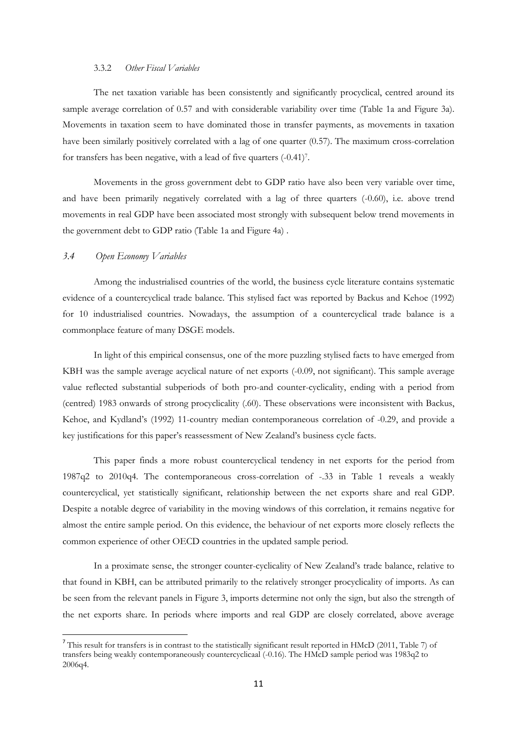#### 3.3.2 *Other Fiscal Variables*

The net taxation variable has been consistently and significantly procyclical, centred around its sample average correlation of 0.57 and with considerable variability over time (Table 1a and Figure 3a). Movements in taxation seem to have dominated those in transfer payments, as movements in taxation have been similarly positively correlated with a lag of one quarter (0.57). The maximum cross-correlation for transfers has been negative, with a lead of five quarters (-0.41)<sup>7</sup> .

Movements in the gross government debt to GDP ratio have also been very variable over time, and have been primarily negatively correlated with a lag of three quarters (-0.60), i.e. above trend movements in real GDP have been associated most strongly with subsequent below trend movements in the government debt to GDP ratio (Table 1a and Figure 4a) .

#### *3.4 Open Economy Variables*

**.** 

Among the industrialised countries of the world, the business cycle literature contains systematic evidence of a countercyclical trade balance. This stylised fact was reported by Backus and Kehoe (1992) for 10 industrialised countries. Nowadays, the assumption of a countercyclical trade balance is a commonplace feature of many DSGE models.

In light of this empirical consensus, one of the more puzzling stylised facts to have emerged from KBH was the sample average acyclical nature of net exports (-0.09, not significant). This sample average value reflected substantial subperiods of both pro-and counter-cyclicality, ending with a period from (centred) 1983 onwards of strong procyclicality (.60). These observations were inconsistent with Backus, Kehoe, and Kydland"s [\(1992\)](#page-36-4) 11-country median contemporaneous correlation of -0.29, and provide a key justifications for this paper"s reassessment of New Zealand"s business cycle facts.

This paper finds a more robust countercyclical tendency in net exports for the period from 1987q2 to 2010q4. The contemporaneous cross-correlation of -.33 in Table 1 reveals a weakly countercyclical, yet statistically significant, relationship between the net exports share and real GDP. Despite a notable degree of variability in the moving windows of this correlation, it remains negative for almost the entire sample period. On this evidence, the behaviour of net exports more closely reflects the common experience of other OECD countries in the updated sample period.

In a proximate sense, the stronger counter-cyclicality of New Zealand"s trade balance, relative to that found in KBH, can be attributed primarily to the relatively stronger procyclicality of imports. As can be seen from the relevant panels in Figure 3, imports determine not only the sign, but also the strength of the net exports share. In periods where imports and real GDP are closely correlated, above average

<sup>&</sup>lt;sup>7</sup> This result for transfers is in contrast to the statistically significant result reported in HMcD (2011, Table 7) of transfers being weakly contemporaneously countercyclicaal (-0.16). The HMcD sample period was 1983q2 to 2006q4.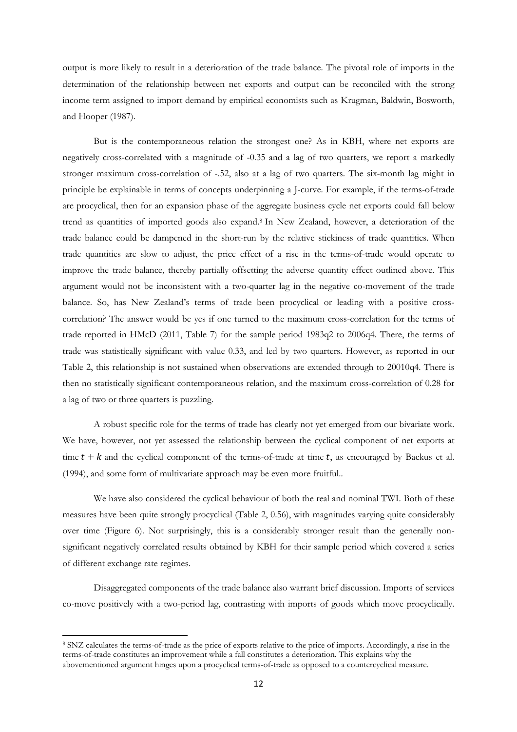output is more likely to result in a deterioration of the trade balance. The pivotal role of imports in the determination of the relationship between net exports and output can be reconciled with the strong income term assigned to import demand by empirical economists such as [Krugman, Baldwin, Bosworth,](#page-37-7)  [and Hooper \(1987\)](#page-37-7).

But is the contemporaneous relation the strongest one? As in KBH, where net exports are negatively cross-correlated with a magnitude of -0.35 and a lag of two quarters, we report a markedly stronger maximum cross-correlation of -.52, also at a lag of two quarters. The six-month lag might in principle be explainable in terms of concepts underpinning a J-curve. For example, if the terms-of-trade are procyclical, then for an expansion phase of the aggregate business cycle net exports could fall below trend as quantities of imported goods also expand. <sup>8</sup> In New Zealand, however, a deterioration of the trade balance could be dampened in the short-run by the relative stickiness of trade quantities. When trade quantities are slow to adjust, the price effect of a rise in the terms-of-trade would operate to improve the trade balance, thereby partially offsetting the adverse quantity effect outlined above. This argument would not be inconsistent with a two-quarter lag in the negative co-movement of the trade balance. So, has New Zealand"s terms of trade been procyclical or leading with a positive crosscorrelation? The answer would be yes if one turned to the maximum cross-correlation for the terms of trade reported in HMcD (2011, Table 7) for the sample period 1983q2 to 2006q4. There, the terms of trade was statistically significant with value 0.33, and led by two quarters. However, as reported in our Table 2, this relationship is not sustained when observations are extended through to 20010q4. There is then no statistically significant contemporaneous relation, and the maximum cross-correlation of 0.28 for a lag of two or three quarters is puzzling.

A robust specific role for the terms of trade has clearly not yet emerged from our bivariate work. We have, however, not yet assessed the relationship between the cyclical component of net exports at time  $t + k$  and the cyclical component of the terms-of-trade at time t, as encouraged by [Backus et al.](#page-36-1) [\(1994\)](#page-36-1), and some form of multivariate approach may be even more fruitful..

We have also considered the cyclical behaviour of both the real and nominal TWI. Both of these measures have been quite strongly procyclical (Table 2, 0.56), with magnitudes varying quite considerably over time (Figure 6). Not surprisingly, this is a considerably stronger result than the generally nonsignificant negatively correlated results obtained by KBH for their sample period which covered a series of different exchange rate regimes.

Disaggregated components of the trade balance also warrant brief discussion. Imports of services co-move positively with a two-period lag, contrasting with imports of goods which move procyclically.

 $\overline{a}$ 

<sup>8</sup> SNZ calculates the terms-of-trade as the price of exports relative to the price of imports. Accordingly, a rise in the terms-of-trade constitutes an improvement while a fall constitutes a deterioration. This explains why the abovementioned argument hinges upon a procyclical terms-of-trade as opposed to a countercyclical measure.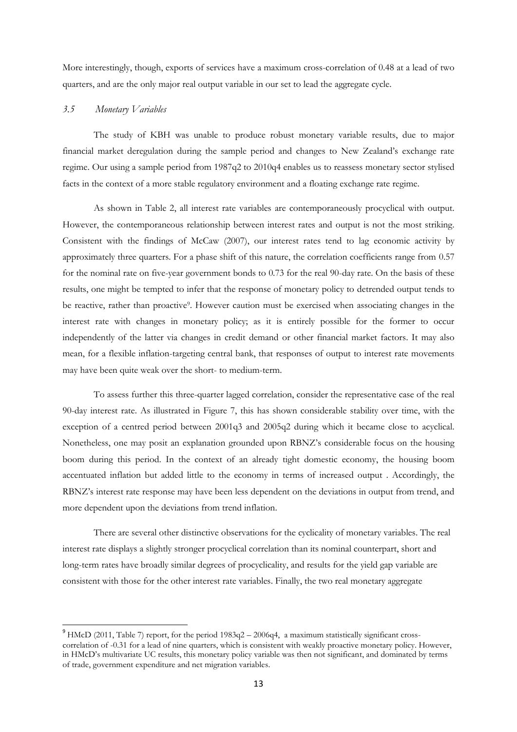More interestingly, though, exports of services have a maximum cross-correlation of 0.48 at a lead of two quarters, and are the only major real output variable in our set to lead the aggregate cycle.

#### *3.5 Monetary Variables*

**.** 

The study of KBH was unable to produce robust monetary variable results, due to major financial market deregulation during the sample period and changes to New Zealand"s exchange rate regime. Our using a sample period from 1987q2 to 2010q4 enables us to reassess monetary sector stylised facts in the context of a more stable regulatory environment and a floating exchange rate regime.

As shown in Table 2, all interest rate variables are contemporaneously procyclical with output. However, the contemporaneous relationship between interest rates and output is not the most striking. Consistent with the findings of McCaw (2007), our interest rates tend to lag economic activity by approximately three quarters. For a phase shift of this nature, the correlation coefficients range from 0.57 for the nominal rate on five-year government bonds to 0.73 for the real 90-day rate. On the basis of these results, one might be tempted to infer that the response of monetary policy to detrended output tends to be reactive, rather than proactive<sup>9</sup>. However caution must be exercised when associating changes in the interest rate with changes in monetary policy; as it is entirely possible for the former to occur independently of the latter via changes in credit demand or other financial market factors. It may also mean, for a flexible inflation-targeting central bank, that responses of output to interest rate movements may have been quite weak over the short- to medium-term.

To assess further this three-quarter lagged correlation, consider the representative case of the real 90-day interest rate. As illustrated in Figure 7, this has shown considerable stability over time, with the exception of a centred period between 2001q3 and 2005q2 during which it became close to acyclical. Nonetheless, one may posit an explanation grounded upon RBNZ"s considerable focus on the housing boom during this period. In the context of an already tight domestic economy, the housing boom accentuated inflation but added little to the economy in terms of increased output . Accordingly, the RBNZ"s interest rate response may have been less dependent on the deviations in output from trend, and more dependent upon the deviations from trend inflation.

There are several other distinctive observations for the cyclicality of monetary variables. The real interest rate displays a slightly stronger procyclical correlation than its nominal counterpart, short and long-term rates have broadly similar degrees of procyclicality, and results for the yield gap variable are consistent with those for the other interest rate variables. Finally, the two real monetary aggregate

<sup>&</sup>lt;sup>9</sup> HMcD (2011, Table 7) report, for the period 1983q2 – 2006q4, a maximum statistically significant crosscorrelation of -0.31 for a lead of nine quarters, which is consistent with weakly proactive monetary policy. However, in HMcD"s multivariate UC results, this monetary policy variable was then not significant, and dominated by terms of trade, government expenditure and net migration variables.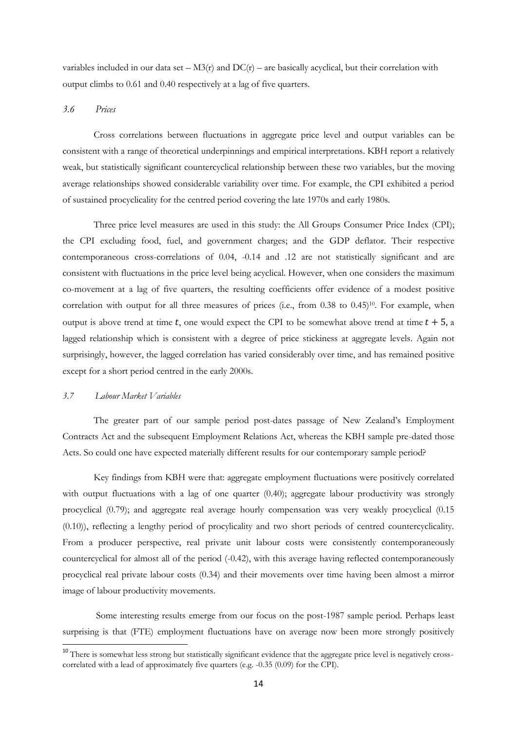variables included in our data set –  $M3(r)$  and  $DC(r)$  – are basically acyclical, but their correlation with output climbs to 0.61 and 0.40 respectively at a lag of five quarters.

#### *3.6 Prices*

Cross correlations between fluctuations in aggregate price level and output variables can be consistent with a range of theoretical underpinnings and empirical interpretations. KBH report a relatively weak, but statistically significant countercyclical relationship between these two variables, but the moving average relationships showed considerable variability over time. For example, the CPI exhibited a period of sustained procyclicality for the centred period covering the late 1970s and early 1980s.

Three price level measures are used in this study: the All Groups Consumer Price Index (CPI); the CPI excluding food, fuel, and government charges; and the GDP deflator. Their respective contemporaneous cross-correlations of 0.04, -0.14 and .12 are not statistically significant and are consistent with fluctuations in the price level being acyclical. However, when one considers the maximum co-movement at a lag of five quarters, the resulting coefficients offer evidence of a modest positive correlation with output for all three measures of prices (i.e., from 0.38 to 0.45)<sup>10</sup>. For example, when output is above trend at time t, one would expect the CPI to be somewhat above trend at time  $t + 5$ , a lagged relationship which is consistent with a degree of price stickiness at aggregate levels. Again not surprisingly, however, the lagged correlation has varied considerably over time, and has remained positive except for a short period centred in the early 2000s.

#### *3.7 Labour Market Variables*

**.** 

The greater part of our sample period post-dates passage of New Zealand's Employment Contracts Act and the subsequent Employment Relations Act, whereas the KBH sample pre-dated those Acts. So could one have expected materially different results for our contemporary sample period?

Key findings from KBH were that: aggregate employment fluctuations were positively correlated with output fluctuations with a lag of one quarter (0.40); aggregate labour productivity was strongly procyclical (0.79); and aggregate real average hourly compensation was very weakly procyclical (0.15 (0.10)), reflecting a lengthy period of procylicality and two short periods of centred countercyclicality. From a producer perspective, real private unit labour costs were consistently contemporaneously countercyclical for almost all of the period (-0.42), with this average having reflected contemporaneously procyclical real private labour costs (0.34) and their movements over time having been almost a mirror image of labour productivity movements.

Some interesting results emerge from our focus on the post-1987 sample period. Perhaps least surprising is that (FTE) employment fluctuations have on average now been more strongly positively

<sup>&</sup>lt;sup>10</sup> There is somewhat less strong but statistically significant evidence that the aggregate price level is negatively crosscorrelated with a lead of approximately five quarters (e.g.  $-0.35$  (0.09) for the CPI).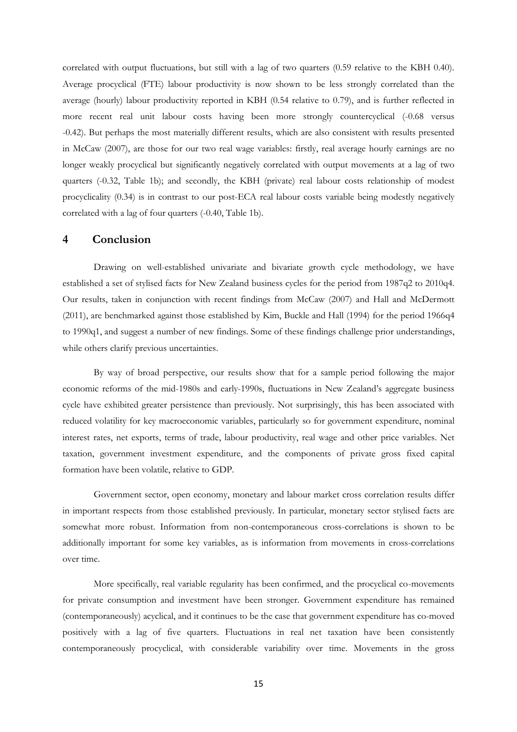correlated with output fluctuations, but still with a lag of two quarters (0.59 relative to the KBH 0.40). Average procyclical (FTE) labour productivity is now shown to be less strongly correlated than the average (hourly) labour productivity reported in KBH (0.54 relative to 0.79), and is further reflected in more recent real unit labour costs having been more strongly countercyclical (-0.68 versus -0.42). But perhaps the most materially different results, which are also consistent with results presented in McCaw (2007), are those for our two real wage variables: firstly, real average hourly earnings are no longer weakly procyclical but significantly negatively correlated with output movements at a lag of two quarters (-0.32, Table 1b); and secondly, the KBH (private) real labour costs relationship of modest procyclicality (0.34) is in contrast to our post-ECA real labour costs variable being modestly negatively correlated with a lag of four quarters (-0.40, Table 1b).

#### **4 Conclusion**

Drawing on well-established univariate and bivariate growth cycle methodology, we have established a set of stylised facts for New Zealand business cycles for the period from 1987q2 to 2010q4. Our results, taken in conjunction with recent findings from McCaw (2007) and Hall and McDermott (2011), are benchmarked against those established by Kim, Buckle and Hall (1994) for the period 1966q4 to 1990q1, and suggest a number of new findings. Some of these findings challenge prior understandings, while others clarify previous uncertainties.

By way of broad perspective, our results show that for a sample period following the major economic reforms of the mid-1980s and early-1990s, fluctuations in New Zealand"s aggregate business cycle have exhibited greater persistence than previously. Not surprisingly, this has been associated with reduced volatility for key macroeconomic variables, particularly so for government expenditure, nominal interest rates, net exports, terms of trade, labour productivity, real wage and other price variables. Net taxation, government investment expenditure, and the components of private gross fixed capital formation have been volatile, relative to GDP.

Government sector, open economy, monetary and labour market cross correlation results differ in important respects from those established previously. In particular, monetary sector stylised facts are somewhat more robust. Information from non-contemporaneous cross-correlations is shown to be additionally important for some key variables, as is information from movements in cross-correlations over time.

More specifically, real variable regularity has been confirmed, and the procyclical co-movements for private consumption and investment have been stronger. Government expenditure has remained (contemporaneously) acyclical, and it continues to be the case that government expenditure has co-moved positively with a lag of five quarters. Fluctuations in real net taxation have been consistently contemporaneously procyclical, with considerable variability over time. Movements in the gross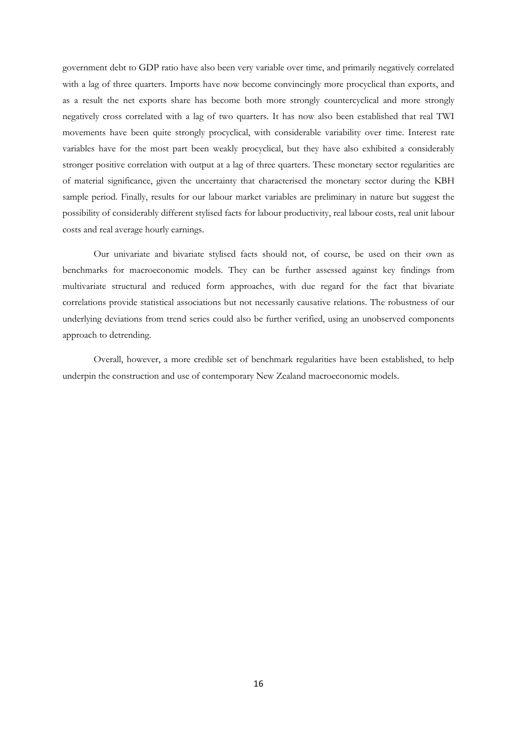government debt to GDP ratio have also been very variable over time, and primarily negatively correlated with a lag of three quarters. Imports have now become convincingly more procyclical than exports, and as a result the net exports share has become both more strongly countercyclical and more strongly negatively cross correlated with a lag of two quarters. It has now also been established that real TWI movements have been quite strongly procyclical, with considerable variability over time. Interest rate variables have for the most part been weakly procyclical, but they have also exhibited a considerably stronger positive correlation with output at a lag of three quarters. These monetary sector regularities are of material significance, given the uncertainty that characterised the monetary sector during the KBH sample period. Finally, results for our labour market variables are preliminary in nature but suggest the possibility of considerably different stylised facts for labour productivity, real labour costs, real unit labour costs and real average hourly earnings.

Our univariate and bivariate stylised facts should not, of course, be used on their own as benchmarks for macroeconomic models. They can be further assessed against key findings from multivariate structural and reduced form approaches, with due regard for the fact that bivariate correlations provide statistical associations but not necessarily causative relations. The robustness of our underlying deviations from trend series could also be further verified, using an unobserved components approach to detrending.

Overall, however, a more credible set of benchmark regularities have been established, to help underpin the construction and use of contemporary New Zealand macroeconomic models.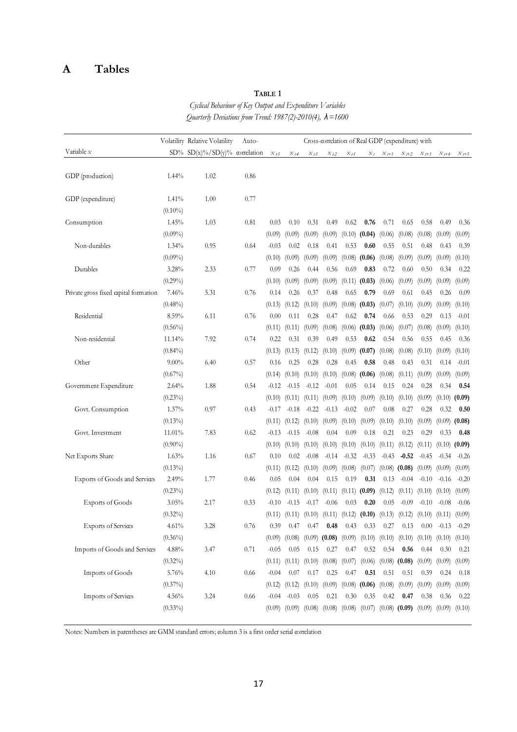# **A Tables**

# **TABLE 1**

*Cyclical Behaviour of Key Output and Expenditure Variables Quarterly Deviations from Trend: 1987(2)-2010(4), λ=1600*

|                                       |                     | Volatility Relative Volatility | Auto- | Cross-correlation of Real GDP (expenditure) with |                |                            |                                     |                |                                                                |                |                                                       |                |                |                   |
|---------------------------------------|---------------------|--------------------------------|-------|--------------------------------------------------|----------------|----------------------------|-------------------------------------|----------------|----------------------------------------------------------------|----------------|-------------------------------------------------------|----------------|----------------|-------------------|
| Variable $x$                          |                     | SD% SD(x)%/SD(y)% correlation  |       | $x_{t5}$                                         | $x_{t4}$       | $x_{t3}$                   | $x_{t2}$                            | $x_{t1}$       | $x_t$                                                          | $x_{t+1}$      | $x_{t+2}$                                             | $x_{t+3}$      | $x_{t+4}$      | $x_{t+5}$         |
|                                       |                     |                                |       |                                                  |                |                            |                                     |                |                                                                |                |                                                       |                |                |                   |
| GDP (production)                      | 1.44%               | 1.02                           | 0.86  |                                                  |                |                            |                                     |                |                                                                |                |                                                       |                |                |                   |
|                                       |                     |                                |       |                                                  |                |                            |                                     |                |                                                                |                |                                                       |                |                |                   |
| GDP (expenditure)                     | 1.41%               | 1.00                           | 0.77  |                                                  |                |                            |                                     |                |                                                                |                |                                                       |                |                |                   |
|                                       | $(0.10\%)$          |                                |       |                                                  |                |                            |                                     |                |                                                                |                |                                                       |                |                |                   |
| Consumption                           | 1.45%               | 1.03                           | 0.81  | 0.03                                             | 0.10           | 0.31                       | 0.49                                | 0.62           | 0.76                                                           | 0.71           | 0.65                                                  | 0.58           | 0.49           | 0.36              |
| Non-durables                          | $(0.09\%)$<br>1.34% | 0.95                           | 0.64  | (0.09)<br>$-0.03$                                | (0.09)<br>0.02 | (0.09)<br>0.18             | (0.09)<br>0.41                      | (0.10)<br>0.53 | (0.04)<br>0.60                                                 | (0.06)<br>0.55 | (0.08)<br>0.51                                        | (0.08)<br>0.48 | (0.09)<br>0.43 | (0.09)<br>0.39    |
|                                       |                     |                                |       | (0.10)                                           | (0.09)         | (0.09)                     | (0.09)                              | (0.08)         | (0.06)                                                         | (0.08)         | (0.09)                                                | (0.09)         | (0.09)         | (0.10)            |
| Durables                              | $(0.09\%)$<br>3.28% | 2.33                           | 0.77  | 0.09                                             | 0.26           | 0.44                       | 0.56                                | 0.69           | 0.83                                                           | 0.72           | 0.60                                                  | 0.50           | 0.34           | 0.22              |
|                                       | $(0.29\%)$          |                                |       | (0.10)                                           | (0.09)         | (0.09)                     | (0.09)                              | (0.11)         | (0.03)                                                         | (0.06)         | (0.09)                                                | (0.09)         | (0.09)         | (0.09)            |
| Private gross fixed capital formation | 7.46%               | 5.31                           | 0.76  | 0.14                                             | 0.26           | 0.37                       | 0.48                                | 0.65           | 0.79                                                           | 0.69           | 0.61                                                  | 0.45           | 0.26           | 0.09              |
|                                       | $(0.48\%)$          |                                |       | (0.13)                                           | (0.12)         | (0.10)                     | (0.09)                              | (0.08)         | (0.03)                                                         | (0.07)         | (0.10)                                                | (0.09)         | (0.09)         | (0.10)            |
| Residential                           | 8.59%               | 6.11                           | 0.76  | 0.00                                             | 0.11           | 0.28                       | 0.47                                | 0.62           | 0.74                                                           | 0.66           | 0.53                                                  | 0.29           | 0.13           | $-0.01$           |
|                                       | $(0.56\%)$          |                                |       | (0.11)                                           | (0.11)         | (0.09)                     | (0.08)                              | (0.06)         | (0.03)                                                         | (0.06)         | (0.07)                                                | (0.08)         | (0.09)         | (0.10)            |
| Non-residential                       | 11.14%              | 7.92                           | 0.74  | 0.22                                             | 0.31           | 0.39                       | 0.49                                | 0.53           | 0.62                                                           | 0.54           | 0.56                                                  | 0.55           | 0.45           | 0.36              |
|                                       | $(0.84\%)$          |                                |       | (0.13)                                           | (0.13)         | (0.12)                     | (0.10)                              | (0.09)         | (0.07)                                                         | (0.08)         | (0.08)                                                | (0.10)         | (0.09)         | (0.10)            |
| Other                                 | $9.00\%$            | 6.40                           | 0.57  | 0.16                                             | 0.25           | 0.28                       | 0.28                                | 0.45           | 0.58                                                           | 0.48           | 0.43                                                  | 0.31           | 0.14           | $-0.01$           |
|                                       | $(0.67\%)$          |                                |       | (0.14)                                           | (0.10)         | (0.10)                     | (0.10)                              | (0.08)         | (0.06)                                                         | (0.08)         | (0.11)                                                | (0.09)         | (0.09)         | (0.09)            |
| Government Expenditure                | 2.64%               | 1.88                           | 0.54  | $-0.12$                                          | $-0.15$        | $-0.12$                    | $-0.01$                             | 0.05           | 0.14                                                           | 0.15           | 0.24                                                  | 0.28           | 0.34           | 0.54              |
|                                       | $(0.23\%)$          |                                |       | (0.10)                                           | (0.11)         | (0.11)                     | (0.09)                              | (0.10)         | (0.09)                                                         | (0.10)         | (0.10)                                                | (0.09)         | (0.10)         | (0.09)            |
| Govt. Consumption                     | 1.37%               | 0.97                           | 0.43  | $-0.17$                                          | $-0.18$        | $-0.22$                    | $-0.13$                             | $-0.02$        | 0.07                                                           | 0.08           | 0.27                                                  | 0.28           | 0.32           | 0.50              |
|                                       | $(0.13\%)$          |                                |       | (0.11)                                           | (0.12)         | (0.10)                     | (0.09)                              | (0.10)         | (0.09)                                                         | (0.10)         | (0.10)                                                | (0.09)         | (0.09)         | (0.08)            |
| Govt. Investment                      | 11.01%              | 7.83                           | 0.62  | $-0.13$                                          | $-0.15$        | $-0.08$                    | 0.04                                | 0.09           | 0.18                                                           | 0.21           | 0.23                                                  | 0.29           | 0.33           | 0.48              |
|                                       | $(0.90\%)$          |                                |       | (0.10)                                           | (0.10)         | (0.10)                     | (0.10)                              | (0.10)         | (0.10)                                                         | (0.11)         | (0.12)                                                | (0.11)         |                | $(0.10)$ $(0.09)$ |
| Net Exports Share                     | 1.63%               | 1.16                           | 0.67  | 0.10                                             | 0.02           | $-0.08$                    | $-0.14$                             | $-0.32$        | $-0.33$                                                        | $-0.43$        | $-0.52$                                               | $-0.45$        | $-0.34$        | $-0.26$           |
|                                       | $(0.13\%)$          |                                |       | (0.11)                                           | (0.12)         | (0.10)                     | (0.09)                              | (0.08)         | (0.07)                                                         |                | $(0.08)$ (0.08)                                       | (0.09)         | (0.09)         | (0.09)            |
| Exports of Goods and Services         | 2.49%               | 1.77                           | 0.46  | 0.05                                             | 0.04           | 0.04                       | 0.15                                | 0.19           | 0.31                                                           | 0.13           | $-0.04$                                               | $-0.10$        | $-0.16$        | $-0.20$           |
|                                       | $(0.23\%)$          |                                |       | (0.12)                                           | (0.11)         | (0.10)                     | (0.11)                              | (0.11)         | (0.09)                                                         | (0.12)         | (0.11)                                                | (0.10)         | (0.10)         | (0.09)            |
| <b>Exports of Goods</b>               | 3.05%               | 2.17                           | 0.33  | $-0.10$                                          | $-0.15$        | $-0.17$                    | $-0.06$                             | 0.03           | 0.20                                                           | 0.05           | $-0.09$                                               | $-0.10$        | $-0.08$        | $-0.06$           |
|                                       | $(0.32\%)$          |                                |       | (0.11)                                           |                |                            |                                     |                | $(0.11)$ $(0.10)$ $(0.11)$ $(0.12)$ $(0.10)$ $(0.13)$ $(0.12)$ |                |                                                       | (0.10)         |                | $(0.11)$ $(0.09)$ |
| <b>Exports of Services</b>            | 4.61%               | 3.28                           | 0.76  | 0.39                                             | 0.47           | 0.47                       | 0.48                                | 0.43           | 0.33                                                           | 0.27           | 0.13                                                  | 0.00           | $-0.13 - 0.29$ |                   |
|                                       | $(0.36\%)$          |                                |       | (0.09)                                           | (0.08)         |                            | $(0.09)$ (0.08) $(0.09)$            |                |                                                                |                | $(0.10)$ $(0.10)$ $(0.10)$ $(0.10)$ $(0.10)$ $(0.10)$ |                |                |                   |
| Imports of Goods and Services         | 4.88%               | 3.47                           | 0.71  | $-0.05$                                          | 0.05           | 0.15                       | 0.27                                | 0.47           | 0.52                                                           | 0.54           | 0.56                                                  | 0.44           | 0.30           | 0.21              |
|                                       | $(0.32\%)$          |                                |       | (0.11)                                           |                | $(0.11)$ $(0.10)$ $(0.08)$ |                                     | (0.07)         | (0.06)                                                         |                | $(0.08)$ $(0.08)$                                     | (0.09)         |                | $(0.09)$ $(0.09)$ |
| Imports of Goods                      | 5.76%               | 4.10                           | 0.66  | $-0.04$                                          | 0.07           | 0.17                       | 0.25                                | 0.47           | 0.51                                                           | 0.51           | 0.51                                                  | 0.39           | 0.24           | 0.18              |
|                                       | $(0.37\%)$          |                                |       | (0.12)                                           | (0.12)         | (0.10)                     | (0.09)                              |                | $(0.08)$ (0.06) $(0.08)$                                       |                | (0.09)                                                | (0.09)         |                | $(0.09)$ $(0.09)$ |
| Imports of Services                   | 4.56%               | 3.24                           | 0.66  | $-0.04$                                          | $-0.03$        | 0.05                       | 0.21                                | 0.30           | 0.35                                                           | 0.42           | 0.47                                                  | 0.38           | 0.36           | 0.22              |
|                                       | $(0.33\%)$          |                                |       | (0.09)                                           |                |                            | $(0.09)$ $(0.08)$ $(0.08)$ $(0.08)$ |                |                                                                |                | $(0.07)$ $(0.08)$ $(0.09)$ $(0.09)$ $(0.09)$ $(0.10)$ |                |                |                   |

Notes: Numbers in parentheses are GMM standard errors; column 3 is a first order serial correlation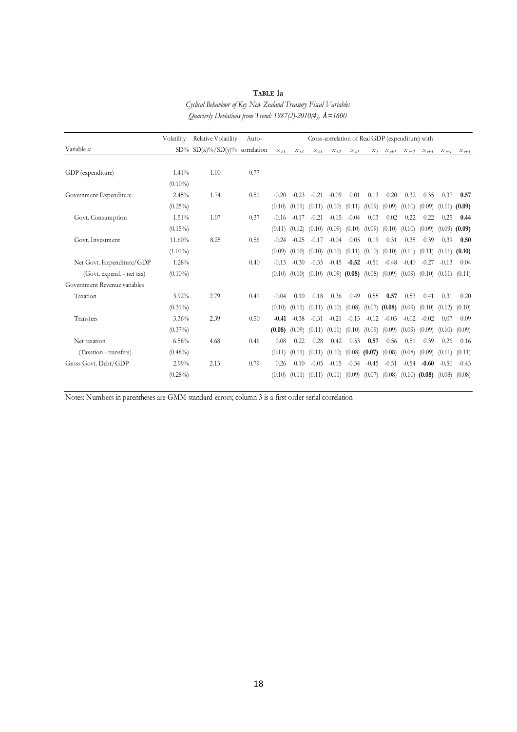|                              | Volatility | Relative Volatility           | Auto- | Cross-correlation of Real GDP (expenditure) with |                        |         |          |                          |                 |                                     |         |                 |           |           |
|------------------------------|------------|-------------------------------|-------|--------------------------------------------------|------------------------|---------|----------|--------------------------|-----------------|-------------------------------------|---------|-----------------|-----------|-----------|
| Variable $x$                 |            | SD% SD(x)%/SD(y)% correlation |       | $\mathcal{X}_{\emph{I-5}}$                       | $\mathcal{X}_{I\!\!A}$ | $X_{L}$ | $x_{t2}$ | $X_{L}$                  |                 | $X_I$ $X_{I+1}$ $X_{I+2}$ $X_{I+3}$ |         |                 | $x_{t+4}$ | $x_{t+5}$ |
|                              |            |                               |       |                                                  |                        |         |          |                          |                 |                                     |         |                 |           |           |
| GDP (expenditure)            | 1.41%      | 1.00                          | 0.77  |                                                  |                        |         |          |                          |                 |                                     |         |                 |           |           |
|                              | $(0.10\%)$ |                               |       |                                                  |                        |         |          |                          |                 |                                     |         |                 |           |           |
| Government Expenditure       | 2.45%      | 1.74                          | 0.51  | $-0.20$                                          | $-0.23$                | $-0.21$ | $-0.09$  | 0.01                     | 0.13            | 0.20                                | 0.32    | 0.35            | 0.37      | 0.57      |
|                              | $(0.25\%)$ |                               |       | (0.10)                                           | (0.11)                 | (0.11)  | (0.10)   | (0.11)                   | (0.09)          | (0.09)                              | (0.10)  | (0.09)          | (0.11)    | (0.09)    |
| Govt. Consumption            | 1.51%      | 1.07                          | 0.37  | $-0.16$                                          | $-0.17$                | $-0.21$ | $-0.15$  | $-0.04$                  | 0.03            | 0.02                                | 0.22    | 0.22            | 0.25      | 0.44      |
|                              | $(0.15\%)$ |                               |       | (0.11)                                           | (0.12)                 | (0.10)  | (0.09)   | (0.10)                   | (0.09)          | (0.10)                              | (0.10)  | (0.09)          | (0.09)    | (0.09)    |
| Govt. Investment             | 11.60%     | 8.25                          | 0.56  | $-0.24$                                          | $-0.25$                | $-0.17$ | $-0.04$  | 0.05                     | 0.19            | 0.31                                | 0.35    | 0.39            | 0.39      | 0.50      |
|                              | $(1.01\%)$ |                               |       | (0.09)                                           | (0.10)                 | (0.10)  | (0.10)   | (0.11)                   | (0.10)          | (0.10)                              | (0.11)  | (0.11)          | (0.11)    | (0.10)    |
| Net Govt. Expenditure/GDP    | 1.28%      |                               | 0.40  | $-0.15$                                          | $-0.30$                | $-0.35$ | $-0.45$  | $-0.52$                  | $-0.51$         | $-0.48$                             | $-0.40$ | $-0.27$         | $-0.13$   | 0.04      |
| (Govt. expend. - net tax)    | $(0.10\%)$ |                               |       | (0.10)                                           | (0.10)                 | (0.10)  |          | $(0.09)$ (0.08) $(0.08)$ |                 | (0.09)                              | (0.09)  | (0.10)          | (0.11)    | (0.11)    |
| Government Revenue variables |            |                               |       |                                                  |                        |         |          |                          |                 |                                     |         |                 |           |           |
| Taxation                     | $3.92\%$   | 2.79                          | 0.41  | $-0.04$                                          | 0.10                   | 0.18    | 0.36     | 0.49                     | 0.55            | 0.57                                | 0.53    | 0.41            | 0.31      | 0.20      |
|                              | $(0.31\%)$ |                               |       | (0.10)                                           | (0.11)                 | (0.11)  | (0.10)   | (0.08)                   |                 | $(0.07)$ (0.08)                     | (0.09)  | (0.10)          | (0.12)    | (0.10)    |
| Transfers                    | 3.36%      | 2.39                          | 0.50  | $-0.41$                                          | $-0.38$                | $-0.31$ | $-0.21$  | $-0.15$                  | $-0.12$         | $-0.05$                             | $-0.02$ | $-0.02$         | 0.07      | 0.09      |
|                              | $(0.37\%)$ |                               |       | (0.08)                                           | (0.09)                 | (0.11)  | (0.11)   | (0.10)                   | (0.09)          | (0.09)                              | (0.09)  | (0.09)          | (0.10)    | (0.09)    |
| Net taxation                 | 6.58%      | 4.68                          | 0.46  | 0.08                                             | 0.22                   | 0.28    | 0.42     | 0.53                     | 0.57            | 0.56                                | 0.51    | 0.39            | 0.26      | 0.16      |
| (Taxation - transfers)       | $(0.48\%)$ |                               |       | (0.11)                                           | (0.11)                 | (0.11)  | (0.10)   |                          | $(0.08)$ (0.07) | (0.08)                              | (0.08)  | (0.09)          | (0.11)    | (0.11)    |
| Gross Govt. Debt/GDP         | 2.99%      | 2.13                          | 0.79  | 0.26                                             | 0.10                   | $-0.05$ | $-0.15$  | $-0.34$                  | $-0.45$         | $-0.51$                             | $-0.54$ | $-0.60$         | $-0.50$   | $-0.43$   |
|                              | $(0.28\%)$ |                               |       | (0.10)                                           | (0.11)                 | (0.11)  | (0.11)   | (0.09)                   | (0.07)          | (0.08)                              |         | $(0.10)$ (0.08) | (0.08)    | (0.08)    |
|                              |            |                               |       |                                                  |                        |         |          |                          |                 |                                     |         |                 |           |           |

**TABLE 1a** *Cyclical Behaviour of Key New Zealand Treasury Fiscal Variables*

*Quarterly Deviations from Trend: 1987(2)-2010(4), λ=1600*

Notes: Numbers in parentheses are GMM standard errors; column 3 is a first order serial correlation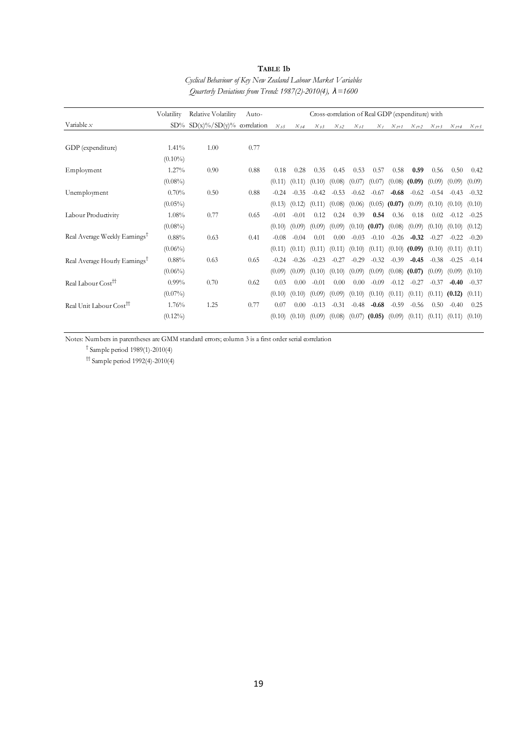| TABLE 1b                                                          |
|-------------------------------------------------------------------|
| Cyclical Behaviour of Key New Zealand Labour Market Variables     |
| Ouarterly Deviations from Trend: 1987(2)-2010(4), $\lambda$ =1600 |

|                                           | Volatility | Relative Volatility                    | Auto- | Cross-correlation of Real GDP (expenditure) with |          |           |          |         |         |                   |                   |                   |           |           |
|-------------------------------------------|------------|----------------------------------------|-------|--------------------------------------------------|----------|-----------|----------|---------|---------|-------------------|-------------------|-------------------|-----------|-----------|
| Variable $x$                              |            | $SD\%$ $SD(x)\% / SD(y)\%$ correlation |       | $X_{L5}$                                         | $x_{14}$ | $X_{L}$ 3 | $X_{L2}$ | $X_{L}$ | $x_t$   | $X_{l+1}$         | $x_{t+2}$         | $X_{l+3}$         | $X_{l+4}$ | $X_{1+5}$ |
|                                           |            |                                        |       |                                                  |          |           |          |         |         |                   |                   |                   |           |           |
| GDP (expenditure)                         | $1.41\%$   | 1.00                                   | 0.77  |                                                  |          |           |          |         |         |                   |                   |                   |           |           |
|                                           | $(0.10\%)$ |                                        |       |                                                  |          |           |          |         |         |                   |                   |                   |           |           |
| Employment                                | 1.27%      | 0.90                                   | 0.88  | 0.18                                             | 0.28     | 0.35      | 0.45     | 0.53    | 0.57    | 0.58              | 0.59              | 0.56              | 0.50      | 0.42      |
|                                           | $(0.08\%)$ |                                        |       | (0.11)                                           | (0.11)   | (0.10)    | (0.08)   | (0.07)  | (0.07)  | (0.08)            | $(0.09)$ $(0.09)$ |                   | (0.09)    | (0.09)    |
| Unemployment                              | 0.70%      | 0.50                                   | 0.88  | $-0.24$                                          | $-0.35$  | $-0.42$   | $-0.53$  | $-0.62$ | $-0.67$ | $-0.68$           | $-0.62$           | $-0.54$           | $-0.43$   | $-0.32$   |
|                                           | $(0.05\%)$ |                                        |       | (0.13)                                           | (0.12)   | (0.11)    | (0.08)   | (0.06)  | (0.05)  | (0.07)            | (0.09)            | (0.10)            | (0.10)    | (0.10)    |
| Labour Productivity                       | 1.08%      | 0.77                                   | 0.65  | $-0.01$                                          | $-0.01$  | 0.12      | 0.24     | 0.39    | 0.54    | 0.36              | 0.18              | 0.02              | $-0.12$   | $-0.25$   |
|                                           | $(0.08\%)$ |                                        |       | (0.10)                                           | (0.09)   | (0.09)    | (0.09)   | (0.10)  | (0.07)  | (0.08)            | (0.09)            | (0.10)            | (0.10)    | (0.12)    |
| Real Average Weekly Earnings <sup>T</sup> | 0.88%      | 0.63                                   | 0.41  | $-0.08$                                          | $-0.04$  | 0.01      | 0.00     | $-0.03$ | $-0.10$ | $-0.26$           | $-0.32$           | $-0.27$           | $-0.22$   | $-0.20$   |
|                                           | $(0.06\%)$ |                                        |       | (0.11)                                           | (0.11)   | (0.11)    | (0.11)   | (0.10)  |         | $(0.11)$ $(0.10)$ | (0.09)            | (0.10)            | (0.11)    | (0.11)    |
| Real Average Hourly Earnings <sup>†</sup> | 0.88%      | 0.63                                   | 0.65  | $-0.24$                                          | $-0.26$  | $-0.23$   | $-0.27$  | $-0.29$ | $-0.32$ | $-0.39$           | $-0.45$           | $-0.38$           | $-0.25$   | $-0.14$   |
|                                           | $(0.06\%)$ |                                        |       | (0.09)                                           | (0.09)   | (0.10)    | (0.10)   | (0.09)  | (0.09)  | (0.08)            | (0.07)            | (0.09)            | (0.09)    | (0.10)    |
| Real Labour Cost <sup>11</sup>            | $0.99\%$   | 0.70                                   | 0.62  | 0.03                                             | 0.00     | $-0.01$   | 0.00     | 0.00    | $-0.09$ | $-0.12$           | $-0.27$           | $-0.37$           | $-0.40$   | $-0.37$   |
|                                           | $(0.07\%)$ |                                        |       | (0.10)                                           | (0.10)   | (0.09)    | (0.09)   | (0.10)  | (0.10)  | (0.11)            | (0.11)            | (0.11)            | (0.12)    | (0.11)    |
| Real Unit Labour Cost <sup>11</sup>       | 1.76%      | 1.25                                   | 0.77  | 0.07                                             | 0.00     | $-0.13$   | $-0.31$  | $-0.48$ | $-0.68$ | $-0.59$           | $-0.56$           | 0.50              | $-0.40$   | 0.25      |
|                                           | $(0.12\%)$ |                                        |       | (0.10)                                           | (0.10)   | (0.09)    | (0.08)   | (0.07)  | (0.05)  | (0.09)            |                   | $(0.11)$ $(0.11)$ | (0.11)    | (0.10)    |
|                                           |            |                                        |       |                                                  |          |           |          |         |         |                   |                   |                   |           |           |

Notes: Numbers in parentheses are GMM standard errors; column 3 is a first order serial correlation

† Sample period 1989(1)-2010(4)

 $\uparrow$  Sample period 1992(4)-2010(4)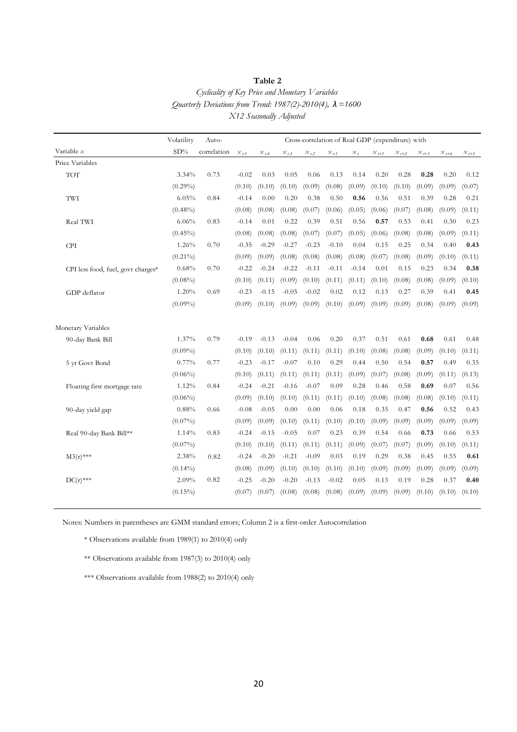#### **Table 2**

# *Cyclicality of Key Price and Monetary Variables Quarterly Deviations from Trend: 1987(2)-2010(4), λ=1600 X12 Seasonally Adjusted*

|                                    | Volatility | Auto-       | Cross-correlation of Real GDP (expenditure) with |                    |           |                            |                            |         |           |           |           |           |           |
|------------------------------------|------------|-------------|--------------------------------------------------|--------------------|-----------|----------------------------|----------------------------|---------|-----------|-----------|-----------|-----------|-----------|
| Variable $x$                       | $SD\%$     | correlation | $x_{t-5}$                                        | $\mathcal{X}_{t4}$ | $x_{t-3}$ | $\mathcal{X}_{t\text{-}2}$ | $\mathcal{X}_{t\text{-}1}$ | $x_t$   | $x_{t+1}$ | $x_{t+2}$ | $x_{t+3}$ | $x_{t+4}$ | $x_{t+5}$ |
| Price Variables                    |            |             |                                                  |                    |           |                            |                            |         |           |           |           |           |           |
| $\operatorname{TOT}$               | 3.34%      | 0.73        | $-0.02$                                          | 0.03               | 0.05      | 0.06                       | 0.13                       | 0.14    | 0.20      | 0.28      | 0.28      | 0.20      | 0.12      |
|                                    | $(0.29\%)$ |             | (0.10)                                           | (0.10)             | (0.10)    | (0.09)                     | (0.08)                     | (0.09)  | (0.10)    | (0.10)    | (0.09)    | (0.09)    | (0.07)    |
| TWI                                | 6.05%      | 0.84        | $-0.14$                                          | 0.00               | 0.20      | 0.38                       | 0.50                       | 0.56    | 0.56      | 0.51      | 0.39      | 0.28      | 0.21      |
|                                    | $(0.48\%)$ |             | (0.08)                                           | (0.08)             | (0.08)    | (0.07)                     | (0.06)                     | (0.05)  | (0.06)    | (0.07)    | (0.08)    | (0.09)    | (0.11)    |
| Real TWI                           | 6.06%      | 0.83        | $-0.14$                                          | 0.01               | 0.22      | 0.39                       | 0.51                       | 0.56    | 0.57      | 0.53      | 0.41      | 0.30      | 0.23      |
|                                    | $(0.45\%)$ |             | (0.08)                                           | (0.08)             | (0.08)    | (0.07)                     | (0.07)                     | (0.05)  | (0.06)    | (0.08)    | (0.08)    | (0.09)    | (0.11)    |
| <b>CPI</b>                         | 1.26%      | 0.70        | $-0.35$                                          | $-0.29$            | $-0.27$   | $-0.23$                    | $-0.10$                    | 0.04    | 0.15      | 0.25      | 0.34      | 0.40      | 0.43      |
|                                    | $(0.21\%)$ |             | (0.09)                                           | (0.09)             | (0.08)    | (0.08)                     | (0.08)                     | (0.08)  | (0.07)    | (0.08)    | (0.09)    | (0.10)    | (0.11)    |
| CPI less food, fuel, govt charges* | 0.68%      | 0.70        | $-0.22$                                          | $-0.24$            | $-0.22$   | $-0.11$                    | $-0.11$                    | $-0.14$ | 0.01      | 0.15      | 0.23      | 0.34      | 0.38      |
|                                    | $(0.08\%)$ |             | (0.10)                                           | (0.11)             | (0.09)    | (0.10)                     | (0.11)                     | (0.11)  | (0.10)    | (0.08)    | (0.08)    | (0.09)    | (0.10)    |
| GDP deflator                       | 1.20%      | 0.69        | $-0.23$                                          | $-0.15$            | $-0.05$   | $-0.02$                    | 0.02                       | 0.12    | 0.13      | 0.27      | 0.39      | 0.41      | 0.45      |
|                                    | $(0.09\%)$ |             | (0.09)                                           | (0.10)             | (0.09)    | (0.09)                     | (0.10)                     | (0.09)  | (0.09)    | (0.09)    | (0.08)    | (0.09)    | (0.09)    |
|                                    |            |             |                                                  |                    |           |                            |                            |         |           |           |           |           |           |
| Monetary Variables                 |            |             |                                                  |                    |           |                            |                            |         |           |           |           |           |           |
| 90-day Bank Bill                   | 1.37%      | 0.79        | $-0.19$                                          | $-0.13$            | $-0.04$   | 0.06                       | 0.20                       | 0.37    | 0.51      | 0.61      | 0.68      | 0.61      | 0.48      |
|                                    | $(0.09\%)$ |             | (0.10)                                           | (0.10)             | (0.11)    | (0.11)                     | (0.11)                     | (0.10)  | (0.08)    | (0.08)    | (0.09)    | (0.10)    | (0.11)    |
| 5 yr Govt Bond                     | 0.77%      | 0.77        | $-0.23$                                          | $-0.17$            | $-0.07$   | 0.10                       | 0.29                       | 0.44    | 0.50      | 0.54      | 0.57      | 0.49      | 0.35      |
|                                    | $(0.06\%)$ |             | (0.10)                                           | (0.11)             | (0.11)    | (0.11)                     | (0.11)                     | (0.09)  | (0.07)    | (0.08)    | (0.09)    | (0.11)    | (0.13)    |
| Floating first mortgage rate       | 1.12%      | 0.84        | $-0.24$                                          | $-0.21$            | $-0.16$   | $-0.07$                    | 0.09                       | 0.28    | 0.46      | 0.58      | 0.69      | 0.07      | 0.56      |
|                                    | $(0.06\%)$ |             | (0.09)                                           | (0.10)             | (0.10)    | (0.11)                     | (0.11)                     | (0.10)  | (0.08)    | (0.08)    | (0.08)    | (0.10)    | (0.11)    |
| 90-day yield gap                   | 0.88%      | 0.66        | $-0.08$                                          | $-0.05$            | 0.00      | 0.00                       | 0.06                       | 0.18    | 0.35      | 0.47      | 0.56      | 0.52      | 0.43      |
|                                    | $(0.07\%)$ |             | (0.09)                                           | (0.09)             | (0.10)    | (0.11)                     | (0.10)                     | (0.10)  | (0.09)    | (0.09)    | (0.09)    | (0.09)    | (0.09)    |
| Real 90-day Bank Bill**            | 1.14%      | 0.83        | $-0.24$                                          | $-0.15$            | $-0.05$   | 0.07                       | 0.23                       | 0.39    | 0.54      | 0.66      | 0.73      | 0.66      | 0.53      |
|                                    | $(0.07\%)$ |             | (0.10)                                           | (0.10)             | (0.11)    | (0.11)                     | (0.11)                     | (0.09)  | (0.07)    | (0.07)    | (0.09)    | (0.10)    | (0.11)    |
| $M3(r)$ ***                        | 2.38%      | 0.82        | $-0.24$                                          | $-0.20$            | $-0.21$   | $-0.09$                    | 0.03                       | 0.19    | 0.29      | 0.38      | 0.45      | 0.55      | 0.61      |
|                                    | $(0.14\%)$ |             | (0.08)                                           | (0.09)             | (0.10)    | (0.10)                     | (0.10)                     | (0.10)  | (0.09)    | (0.09)    | (0.09)    | (0.09)    | (0.09)    |
| $DC(r)$ ***                        | 2.09%      | 0.82        | $-0.25$                                          | $-0.20$            | $-0.20$   | $-0.13$                    | $-0.02$                    | 0.05    | 0.13      | 0.19      | 0.28      | 0.37      | 0.40      |
|                                    | $(0.15\%)$ |             | (0.07)                                           | (0.07)             | (0.08)    | (0.08)                     | (0.08)                     | (0.09)  | (0.09)    | (0.09)    | (0.10)    | (0.10)    | (0.10)    |
|                                    |            |             |                                                  |                    |           |                            |                            |         |           |           |           |           |           |

Notes: Numbers in parentheses are GMM standard errors; Column 2 is a first-order Autocorrelation

\* Observations available from 1989(1) to 2010(4) only

\*\* Observations available from 1987(3) to 2010(4) only

\*\*\* Observations available from 1988(2) to 2010(4) only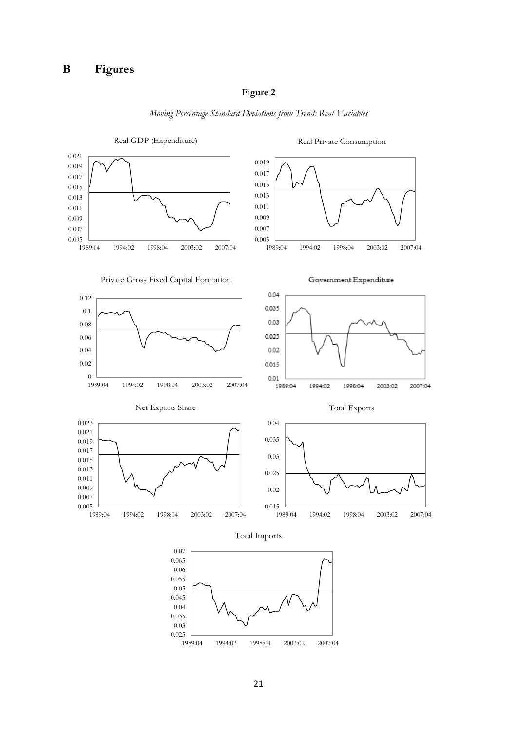# **Figure 2**



*Moving Percentage Standard Deviations from Trend: Real Variables*

1989:04 1994:02 1998:04 2003:02 2007:04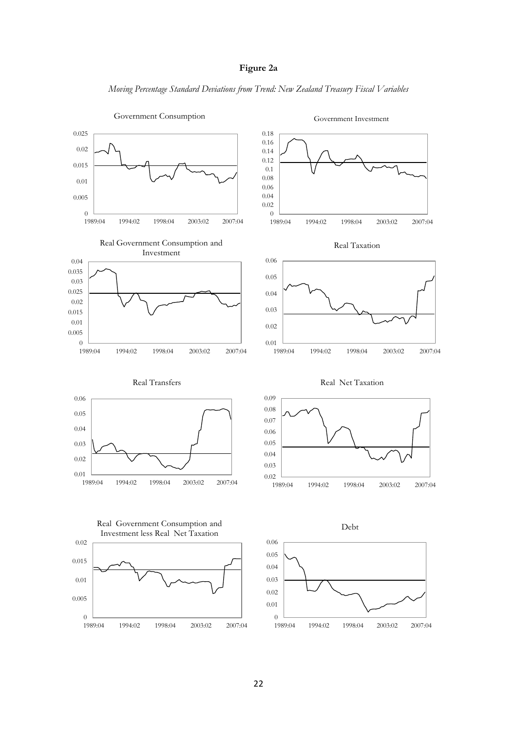# **Figure 2a**

*Moving Percentage Standard Deviations from Trend: New Zealand Treasury Fiscal Variables*

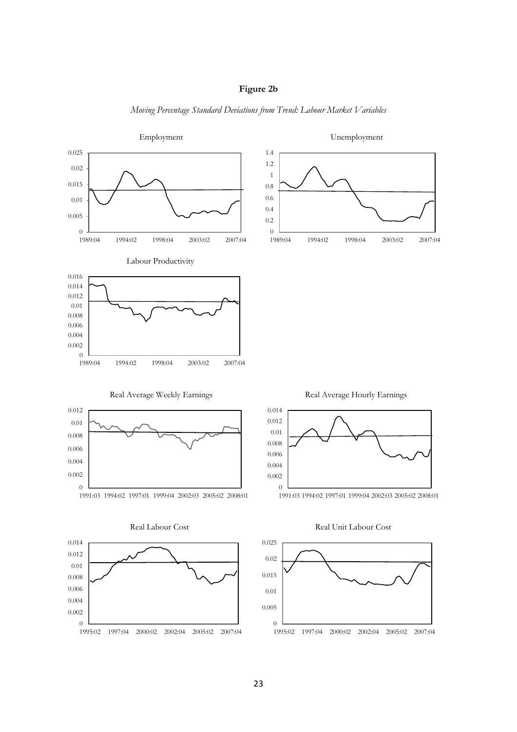



*Moving Percentage Standard Deviations from Trend: Labour Market Variables*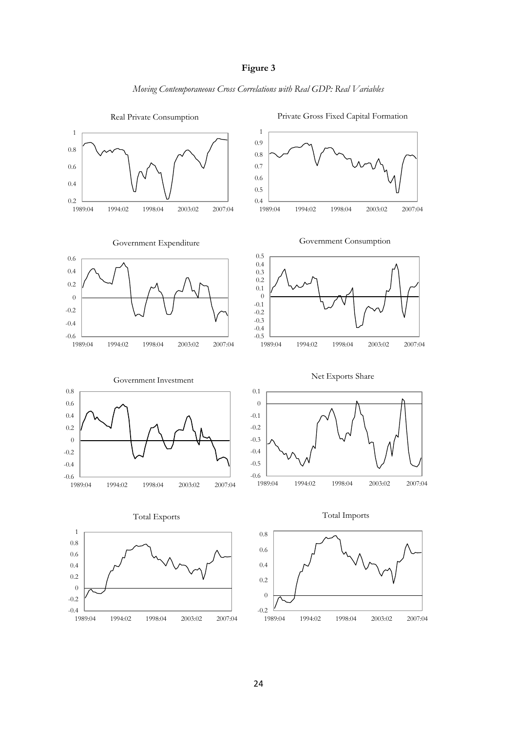

*Moving Contemporaneous Cross Correlations with Real GDP: Real Variables*

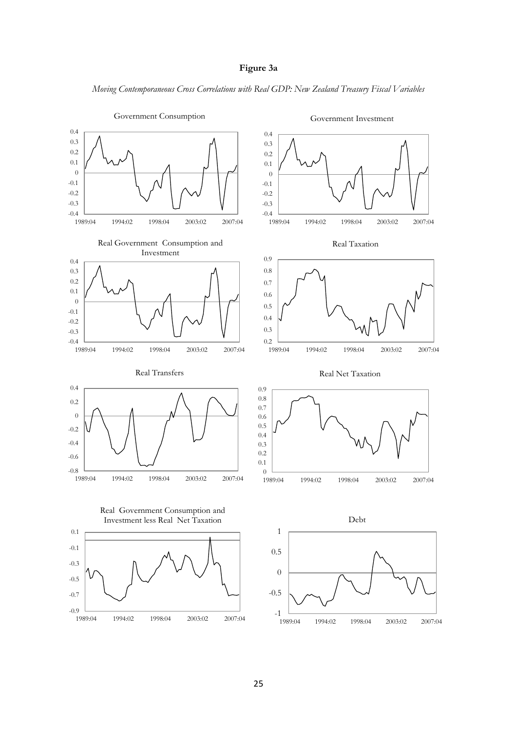# **Figure 3a**

*Moving Contemporaneous Cross Correlations with Real GDP: New Zealand Treasury Fiscal Variables*

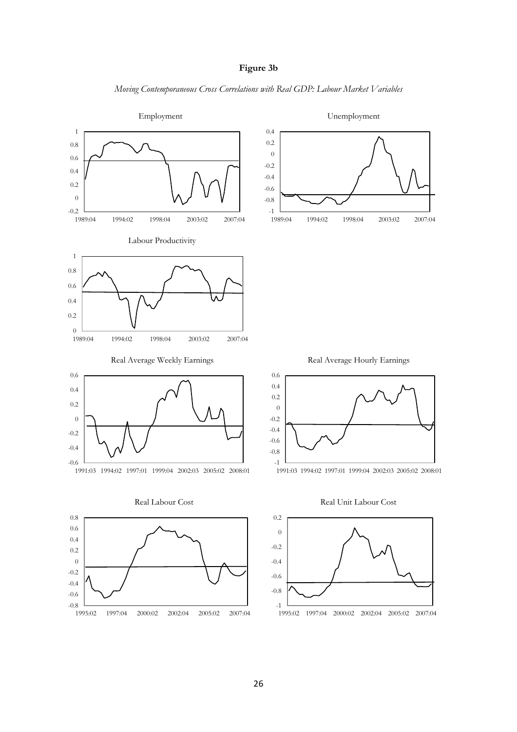

*Moving Contemporaneous Cross Correlations with Real GDP: Labour Market Variables*

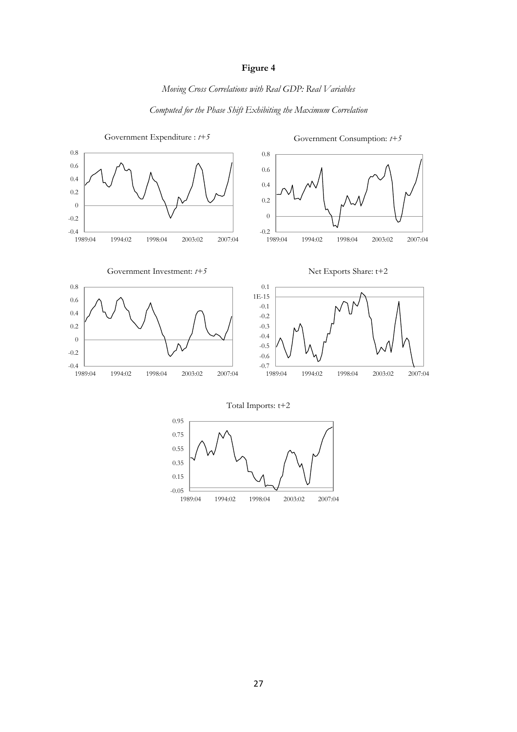# **Figure 4**

# *Moving Cross Correlations with Real GDP: Real Variables*

# *Computed for the Phase Shift Exhibiting the Maximum Correlation*



1989:04 1994:02 1998:04 2003:02 2007:04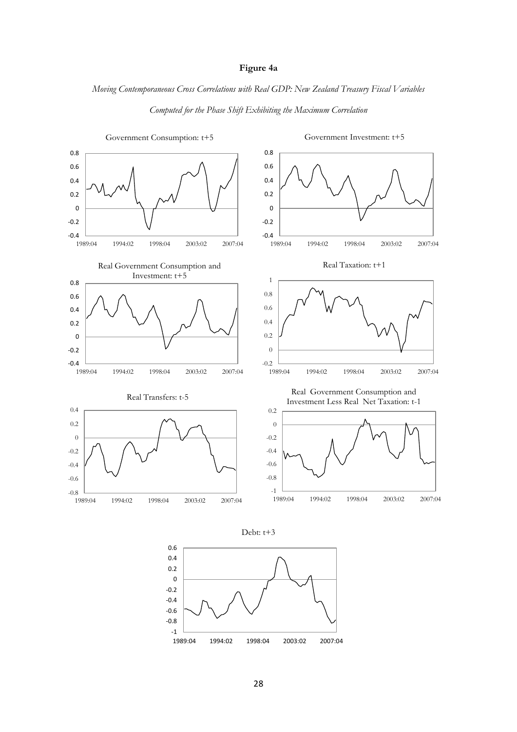# **Figure 4a**

*Moving Contemporaneous Cross Correlations with Real GDP: New Zealand Treasury Fiscal Variables*



*Computed for the Phase Shift Exhibiting the Maximum Correlation*



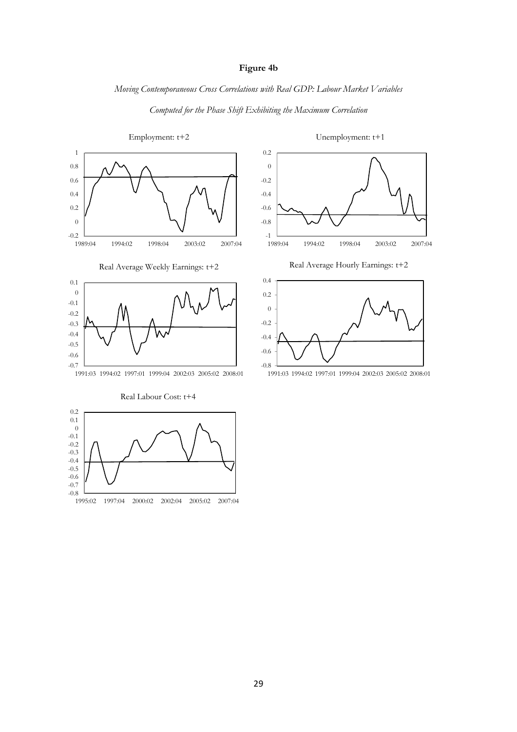# **Figure 4b**

# *Moving Contemporaneous Cross Correlations with Real GDP: Labour Market Variables*



 $-0.8$   $-1995:02$ 

1995:02 1997:04 2000:02 2002:04 2005:02 2007:04

*Computed for the Phase Shift Exhibiting the Maximum Correlation*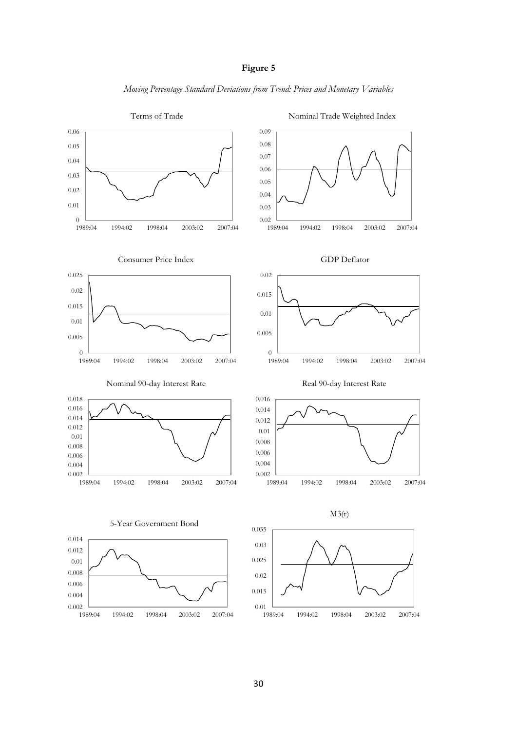# **Figure 5**

*Moving Percentage Standard Deviations from Trend: Prices and Monetary Variables*



30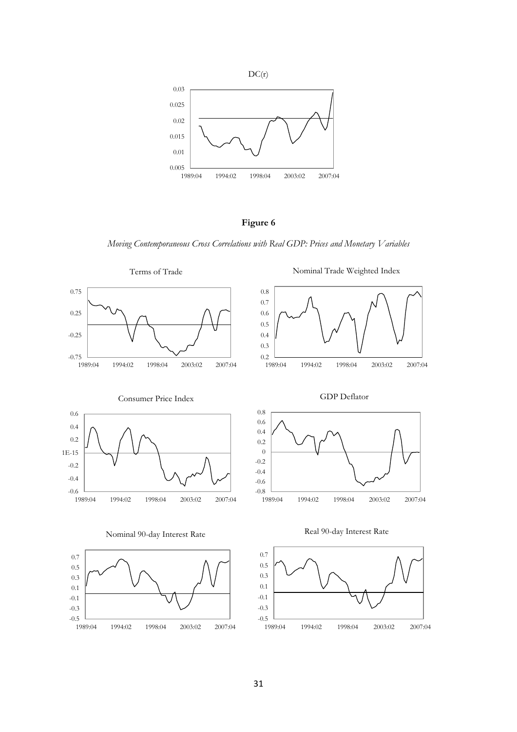



*Moving Contemporaneous Cross Correlations with Real GDP: Prices and Monetary Variables*

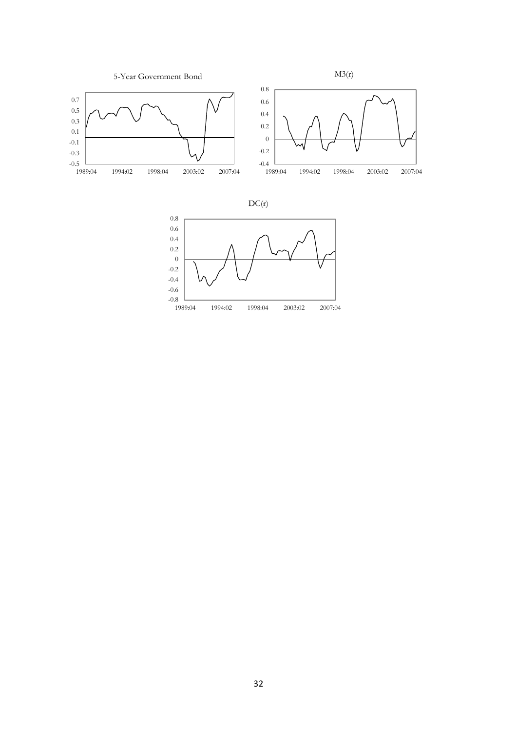



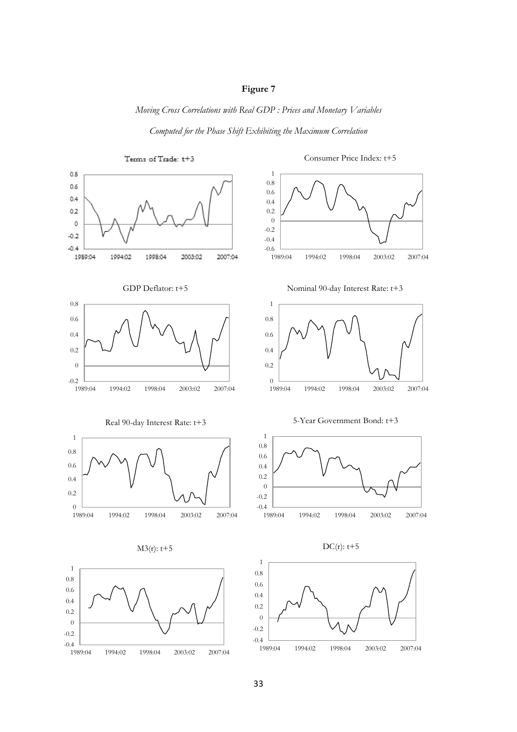# **Figure 7**

*Moving Cross Correlations with Real GDP : Prices and Monetary Variables*

*Computed for the Phase Shift Exhibiting the Maximum Correlation*



33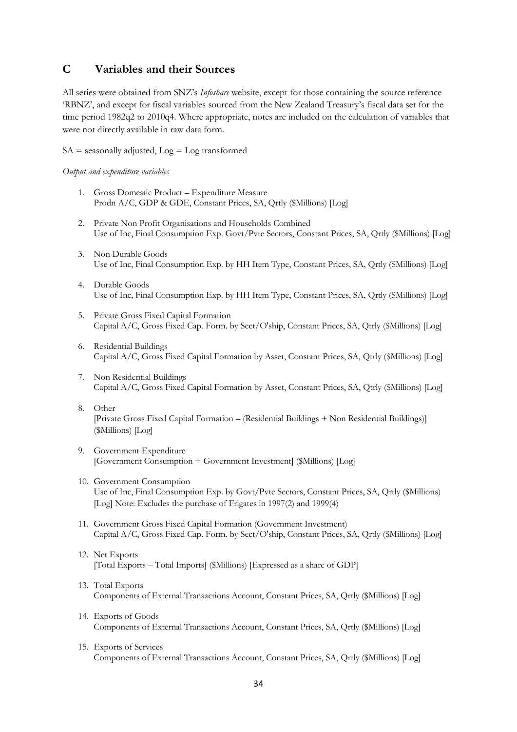# **C Variables and their Sources**

All series were obtained from SNZ"s *Infoshare* website, except for those containing the source reference "RBNZ", and except for fiscal variables sourced from the New Zealand Treasury"s fiscal data set for the time period 1982q2 to 2010q4. Where appropriate, notes are included on the calculation of variables that were not directly available in raw data form.

 $SA =$  seasonally adjusted,  $Log = Log$  transformed

*Output and expenditure variables*

- 1. Gross Domestic Product Expenditure Measure Prodn A/C, GDP & GDE, Constant Prices, SA, Qrtly (\$Millions) [Log]
- 2. Private Non Profit Organisations and Households Combined Use of Inc, Final Consumption Exp. Govt/Pvte Sectors, Constant Prices, SA, Qrtly (\$Millions) [Log]
- 3. Non Durable Goods Use of Inc, Final Consumption Exp. by HH Item Type, Constant Prices, SA, Qrtly (\$Millions) [Log]
- 4. Durable Goods Use of Inc, Final Consumption Exp. by HH Item Type, Constant Prices, SA, Qrtly (\$Millions) [Log]
- 5. Private Gross Fixed Capital Formation Capital A/C, Gross Fixed Cap. Form. by Sect/O'ship, Constant Prices, SA, Qtrly (\$Millions) [Log]
- 6. Residential Buildings Capital A/C, Gross Fixed Capital Formation by Asset, Constant Prices, SA, Qtrly (\$Millions) [Log]
- 7. Non Residential Buildings Capital A/C, Gross Fixed Capital Formation by Asset, Constant Prices, SA, Qtrly (\$Millions) [Log]
- 8. Other [Private Gross Fixed Capital Formation – (Residential Buildings + Non Residential Buildings)] (\$Millions) [Log]
- 9. Government Expenditure [Government Consumption + Government Investment] (\$Millions) [Log]
- 10. Government Consumption Use of Inc, Final Consumption Exp. by Govt/Pvte Sectors, Constant Prices, SA, Qrtly (\$Millions) [Log] Note: Excludes the purchase of Frigates in 1997(2) and 1999(4)
- 11. Government Gross Fixed Capital Formation (Government Investment) Capital A/C, Gross Fixed Cap. Form. by Sect/O'ship, Constant Prices, SA, Qrtly (\$Millions) [Log]
- 12. Net Exports [Total Exports – Total Imports] (\$Millions) [Expressed as a share of GDP]
- 13. Total Exports Components of External Transactions Account, Constant Prices, SA, Qrtly (\$Millions) [Log]
- 14. Exports of Goods Components of External Transactions Account, Constant Prices, SA, Qrtly (\$Millions) [Log]
- 15. Exports of Services Components of External Transactions Account, Constant Prices, SA, Qrtly (\$Millions) [Log]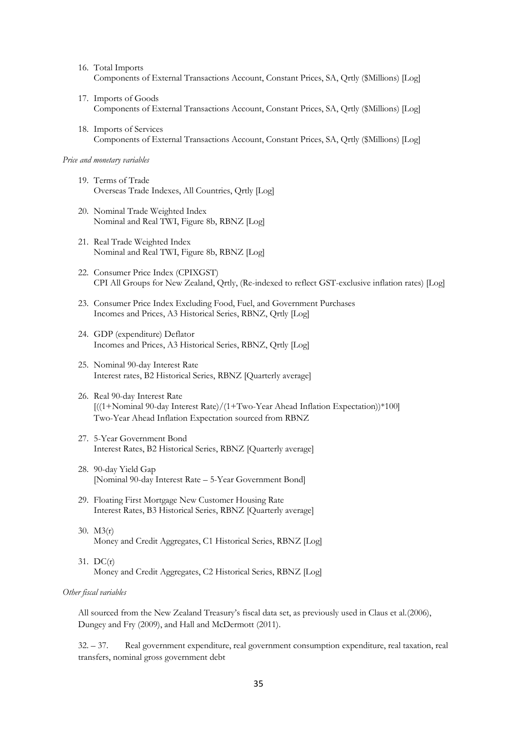- 16. Total Imports Components of External Transactions Account, Constant Prices, SA, Qrtly (\$Millions) [Log]
- 17. Imports of Goods Components of External Transactions Account, Constant Prices, SA, Qrtly (\$Millions) [Log]
- 18. Imports of Services Components of External Transactions Account, Constant Prices, SA, Qrtly (\$Millions) [Log]

#### *Price and monetary variables*

- 19. Terms of Trade Overseas Trade Indexes, All Countries, Qrtly [Log]
- 20. Nominal Trade Weighted Index Nominal and Real TWI, Figure 8b, RBNZ [Log]
- 21. Real Trade Weighted Index Nominal and Real TWI, Figure 8b, RBNZ [Log]
- 22. Consumer Price Index (CPIXGST) CPI All Groups for New Zealand, Qrtly, (Re-indexed to reflect GST-exclusive inflation rates) [Log]
- 23. Consumer Price Index Excluding Food, Fuel, and Government Purchases Incomes and Prices, A3 Historical Series, RBNZ, Qrtly [Log]
- 24. GDP (expenditure) Deflator Incomes and Prices, A3 Historical Series, RBNZ, Qrtly [Log]
- 25. Nominal 90-day Interest Rate Interest rates, B2 Historical Series, RBNZ [Quarterly average]
- 26. Real 90-day Interest Rate [((1+Nominal 90-day Interest Rate)/(1+Two-Year Ahead Inflation Expectation))\*100] Two-Year Ahead Inflation Expectation sourced from RBNZ
- 27. 5-Year Government Bond Interest Rates, B2 Historical Series, RBNZ [Quarterly average]
- 28. 90-day Yield Gap [Nominal 90-day Interest Rate – 5-Year Government Bond]
- 29. Floating First Mortgage New Customer Housing Rate Interest Rates, B3 Historical Series, RBNZ [Quarterly average]
- 30. M3(r) Money and Credit Aggregates, C1 Historical Series, RBNZ [Log]
- 31. DC(r) Money and Credit Aggregates, C2 Historical Series, RBNZ [Log]

#### *Other fiscal variables*

All sourced from the New Zealand Treasury's fiscal data set, as previously used in Claus et al.(2006), Dungey and Fry (2009), and Hall and McDermott (2011).

32. – 37. Real government expenditure, real government consumption expenditure, real taxation, real transfers, nominal gross government debt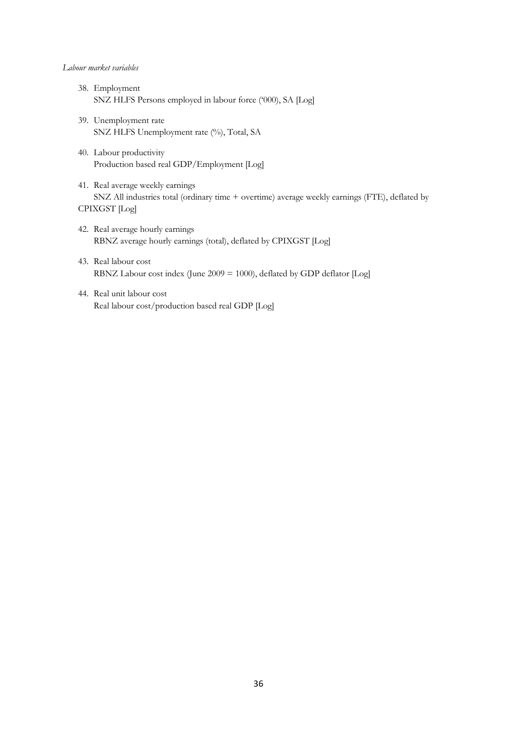#### *Labour market variables*

- 38. Employment SNZ HLFS Persons employed in labour force ("000), SA [Log]
- 39. Unemployment rate SNZ HLFS Unemployment rate (%), Total, SA
- 40. Labour productivity Production based real GDP/Employment [Log]
- 41. Real average weekly earnings SNZ All industries total (ordinary time + overtime) average weekly earnings (FTE), deflated by CPIXGST [Log]
- 42. Real average hourly earnings RBNZ average hourly earnings (total), deflated by CPIXGST [Log]
- 43. Real labour cost RBNZ Labour cost index (June 2009 = 1000), deflated by GDP deflator [Log]
- 44. Real unit labour cost Real labour cost/production based real GDP [Log]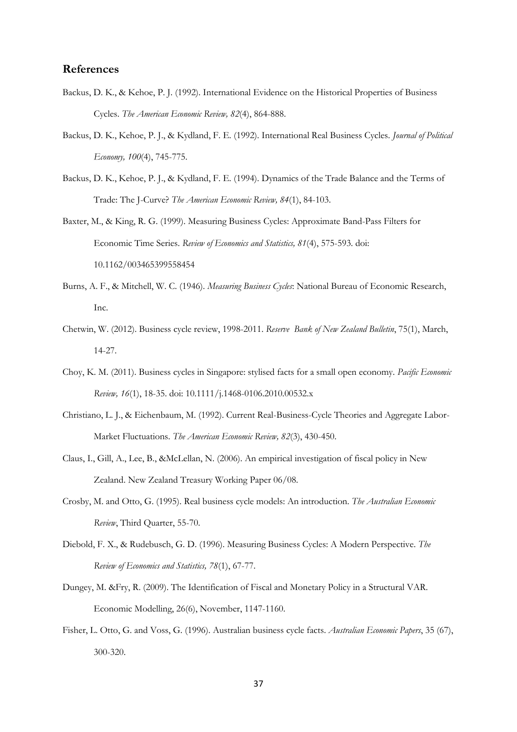# **References**

- <span id="page-36-0"></span>Backus, D. K., & Kehoe, P. J. (1992). International Evidence on the Historical Properties of Business Cycles. *The American Economic Review, 82*(4), 864-888.
- <span id="page-36-4"></span>Backus, D. K., Kehoe, P. J., & Kydland, F. E. (1992). International Real Business Cycles. *Journal of Political Economy, 100*(4), 745-775.
- <span id="page-36-1"></span>Backus, D. K., Kehoe, P. J., & Kydland, F. E. (1994). Dynamics of the Trade Balance and the Terms of Trade: The J-Curve? *The American Economic Review, 84*(1), 84-103.

<span id="page-36-2"></span>Baxter, M., & King, R. G. (1999). Measuring Business Cycles: Approximate Band-Pass Filters for Economic Time Series. *Review of Economics and Statistics, 81*(4), 575-593. doi: 10.1162/003465399558454

- Burns, A. F., & Mitchell, W. C. (1946). *Measuring Business Cycles*: National Bureau of Economic Research, Inc.
- Chetwin, W. (2012). Business cycle review, 1998-2011. *Reserve Bank of New Zealand Bulletin*, 75(1), March, 14-27.
- Choy, K. M. (2011). Business cycles in Singapore: stylised facts for a small open economy. *Pacific Economic Review, 16*(1), 18-35. doi: 10.1111/j.1468-0106.2010.00532.x
- <span id="page-36-3"></span>Christiano, L. J., & Eichenbaum, M. (1992). Current Real-Business-Cycle Theories and Aggregate Labor-Market Fluctuations. *The American Economic Review, 82*(3), 430-450.
- Claus, I., Gill, A., Lee, B., &McLellan, N. (2006). An empirical investigation of fiscal policy in New Zealand. New Zealand Treasury Working Paper 06/08.
- Crosby, M. and Otto, G. (1995). Real business cycle models: An introduction. *The Australian Economic Review*, Third Quarter, 55-70.
- Diebold, F. X., & Rudebusch, G. D. (1996). Measuring Business Cycles: A Modern Perspective. *The Review of Economics and Statistics, 78*(1), 67-77.
- Dungey, M. &Fry, R. (2009). The Identification of Fiscal and Monetary Policy in a Structural VAR. Economic Modelling, 26(6), November, 1147-1160.
- Fisher, L. Otto, G. and Voss, G. (1996). Australian business cycle facts. *Australian Economic Papers*, 35 (67), 300-320.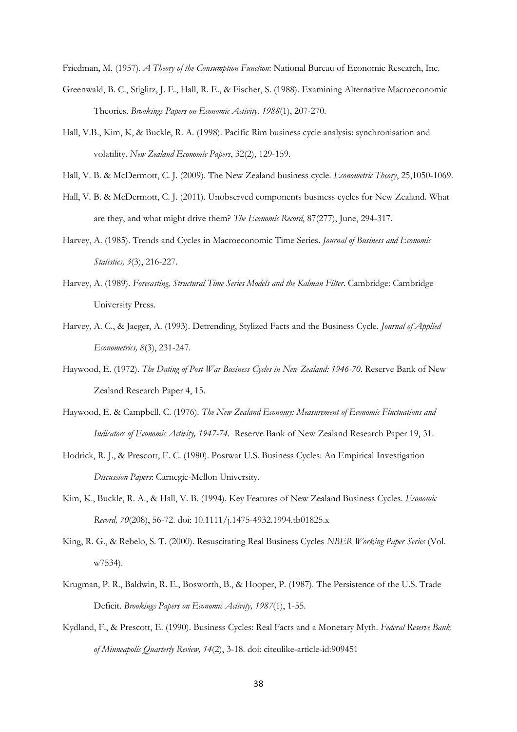Friedman, M. (1957). *A Theory of the Consumption Function*: National Bureau of Economic Research, Inc.

- <span id="page-37-1"></span>Greenwald, B. C., Stiglitz, J. E., Hall, R. E., & Fischer, S. (1988). Examining Alternative Macroeconomic Theories. *Brookings Papers on Economic Activity, 1988*(1), 207-270.
- Hall, V.B., Kim, K, & Buckle, R. A. (1998). Pacific Rim business cycle analysis: synchronisation and volatility. *New Zealand Economic Papers*, 32(2), 129-159.
- Hall, V. B. & McDermott, C. J. (2009). The New Zealand business cycle. *Econometric Theory*, 25,1050-1069.
- Hall, V. B. & McDermott, C. J. (2011). Unobserved components business cycles for New Zealand. What are they, and what might drive them? *The Economic Record*, 87(277), June, 294-317.
- <span id="page-37-4"></span>Harvey, A. (1985). Trends and Cycles in Macroeconomic Time Series. *Journal of Business and Economic Statistics, 3*(3), 216-227.
- <span id="page-37-5"></span>Harvey, A. (1989). *Forecasting, Structural Time Series Models and the Kalman Filter*. Cambridge: Cambridge University Press.
- <span id="page-37-3"></span>Harvey, A. C., & Jaeger, A. (1993). Detrending, Stylized Facts and the Business Cycle. *Journal of Applied Econometrics, 8*(3), 231-247.
- <span id="page-37-2"></span>Haywood, E. (1972). *The Dating of Post War Business Cycles in New Zealand: 1946-70*. Reserve Bank of New Zealand Research Paper 4, 15.
- Haywood, E. & Campbell, C. (1976). *The New Zealand Economy: Measurement of Economic Fluctuations and Indicators of Economic Activity, 1947-74.* Reserve Bank of New Zealand Research Paper 19, 31.
- Hodrick, R. J., & Prescott, E. C. (1980). Postwar U.S. Business Cycles: An Empirical Investigation *Discussion Papers*: Carnegie-Mellon University.
- <span id="page-37-0"></span>Kim, K., Buckle, R. A., & Hall, V. B. (1994). Key Features of New Zealand Business Cycles. *Economic Record, 70*(208), 56-72. doi: 10.1111/j.1475-4932.1994.tb01825.x
- <span id="page-37-6"></span>King, R. G., & Rebelo, S. T. (2000). Resuscitating Real Business Cycles *NBER Working Paper Series* (Vol. w7534).
- <span id="page-37-7"></span>Krugman, P. R., Baldwin, R. E., Bosworth, B., & Hooper, P. (1987). The Persistence of the U.S. Trade Deficit. *Brookings Papers on Economic Activity, 1987*(1), 1-55.
- Kydland, F., & Prescott, E. (1990). Business Cycles: Real Facts and a Monetary Myth. *Federal Reserve Bank of Minneapolis Quarterly Review, 14*(2), 3-18. doi: citeulike-article-id:909451